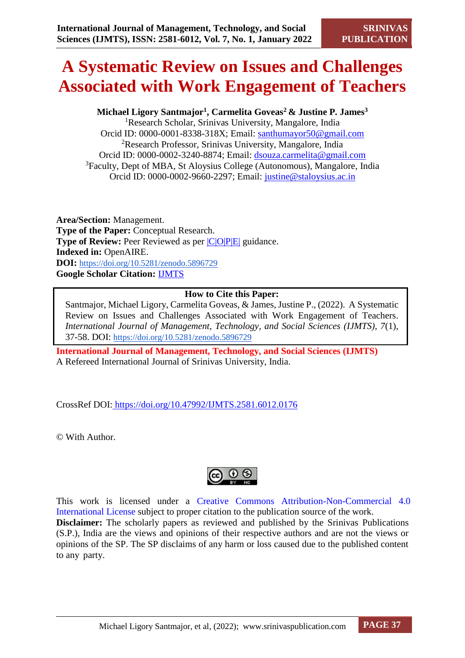# **A Systematic Review on Issues and Challenges Associated with Work Engagement of Teachers**

## **Michael Ligory Santmajor<sup>1</sup> , Carmelita Goveas<sup>2</sup>& Justine P. James<sup>3</sup>**

<sup>1</sup>Research Scholar, Srinivas University, Mangalore, India Orcid ID: [0000-0001-8338-318X;](mailto:0000-0001-8338-318X) Email: [santhumayor50@gmail.com](mailto:santhumayor50@gmail.com) <sup>2</sup>Research Professor, Srinivas University, Mangalore, India Orcid ID: [0000-0002-3240-8874;](mailto:0000-0002-3240-8874) Email: [dsouza.carmelita@gmail.com](mailto:dsouza.carmelita@gmail.com) <sup>3</sup>Faculty, Dept of MBA, St Aloysius College (Autonomous), Mangalore, India Orcid ID: [0000-0002-9660-2297;](mailto:0000-0002-9660-2297) Email: [justine@staloysius.ac.in](mailto:justine@staloysius.ac.in)

**Area/Section:** Management. **Type of the Paper:** Conceptual Research. **Type of Review:** Peer Reviewed as per  $|C|O||P|E|$  guidance. **Indexed in:** OpenAIRE. **DOI:** <https://doi.org/10.5281/zenodo.5896729> **Google Scholar Citation:** [IJMTS](https://scholar.google.com/citations?user=bphF0BQAAAAJ)

## **How to Cite this Paper:**

Santmajor, Michael Ligory, Carmelita Goveas, & James, Justine P., (2022). A Systematic Review on Issues and Challenges Associated with Work Engagement of Teachers. *International Journal of Management, Technology, and Social Sciences (IJMTS), 7*(1), 37-58. DOI: <https://doi.org/10.5281/zenodo.5896729>

**International Journal of Management, Technology, and Social Sciences (IJMTS)** A Refereed International Journal of Srinivas University, India.

CrossRef DOI: [https://doi.org/10.47992/IJMTS.2581.6012.0176](https://search.crossref.org/?q=10.47992%2FIJMTS.2581.6012.0176&from_ui=yes)

© With Author.



This work is licensed under a Creative Commons Attribution-Non-Commercial 4.0 International License subject to proper citation to the publication source of the work. **Disclaimer:** The scholarly papers as reviewed and published by the Srinivas Publications (S.P.), India are the views and opinions of their respective authors and are not the views or opinions of the SP. The SP disclaims of any harm or loss caused due to the published content to any party.

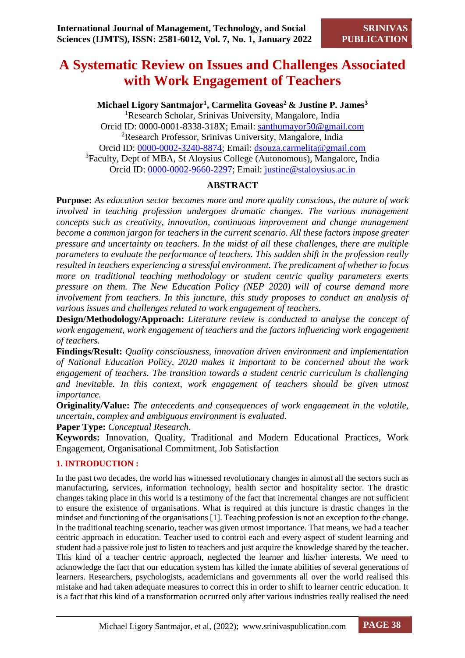## **A Systematic Review on Issues and Challenges Associated with Work Engagement of Teachers**

## **Michael Ligory Santmajor<sup>1</sup> , Carmelita Goveas<sup>2</sup>& Justine P. James<sup>3</sup>**

<sup>1</sup>Research Scholar, Srinivas University, Mangalore, India Orcid ID: [0000-0001-8338-318X;](mailto:0000-0001-8338-318X) Email: [santhumayor50@gmail.com](mailto:santhumayor50@gmail.com) <sup>2</sup>Research Professor, Srinivas University, Mangalore, India Orcid ID: [0000-0002-3240-8874;](mailto:0000-0002-3240-8874) Email: [dsouza.carmelita@gmail.com](mailto:dsouza.carmelita@gmail.com) <sup>3</sup>Faculty, Dept of MBA, St Aloysius College (Autonomous), Mangalore, India Orcid ID: [0000-0002-9660-2297;](mailto:0000-0002-9660-2297) Email: [justine@staloysius.ac.in](mailto:justine@staloysius.ac.in)

## **ABSTRACT**

**Purpose:** *As education sector becomes more and more quality conscious, the nature of work involved in teaching profession undergoes dramatic changes. The various management concepts such as creativity, innovation, continuous improvement and change management become a common jargon for teachers in the current scenario. All these factors impose greater pressure and uncertainty on teachers. In the midst of all these challenges, there are multiple parameters to evaluate the performance of teachers. This sudden shift in the profession really resulted in teachers experiencing a stressful environment. The predicament of whether to focus more on traditional teaching methodology or student centric quality parameters exerts pressure on them. The New Education Policy (NEP 2020) will of course demand more involvement from teachers. In this juncture, this study proposes to conduct an analysis of various issues and challenges related to work engagement of teachers.*

**Design/Methodology/Approach:** *Literature review is conducted to analyse the concept of work engagement, work engagement of teachers and the factors influencing work engagement of teachers.*

**Findings/Result:** *Quality consciousness, innovation driven environment and implementation of National Education Policy, 2020 makes it important to be concerned about the work engagement of teachers. The transition towards a student centric curriculum is challenging and inevitable. In this context, work engagement of teachers should be given utmost importance.*

**Originality/Value:** *The antecedents and consequences of work engagement in the volatile, uncertain, complex and ambiguous environment is evaluated.*

**Paper Type:** *Conceptual Research*.

**Keywords:** Innovation, Quality, Traditional and Modern Educational Practices, Work Engagement, Organisational Commitment, Job Satisfaction

## **1. INTRODUCTION :**

In the past two decades, the world has witnessed revolutionary changes in almost all the sectors such as manufacturing, services, information technology, health sector and hospitality sector. The drastic changes taking place in this world is a testimony of the fact that incremental changes are not sufficient to ensure the existence of organisations. What is required at this juncture is drastic changes in the mindset and functioning of the organisations [1]. Teaching profession is not an exception to the change. In the traditional teaching scenario, teacher was given utmost importance. That means, we had a teacher centric approach in education. Teacher used to control each and every aspect of student learning and student had a passive role just to listen to teachers and just acquire the knowledge shared by the teacher. This kind of a teacher centric approach, neglected the learner and his/her interests. We need to acknowledge the fact that our education system has killed the innate abilities of several generations of learners. Researchers, psychologists, academicians and governments all over the world realised this mistake and had taken adequate measures to correct this in order to shift to learner centric education. It is a fact that this kind of a transformation occurred only after various industries really realised the need

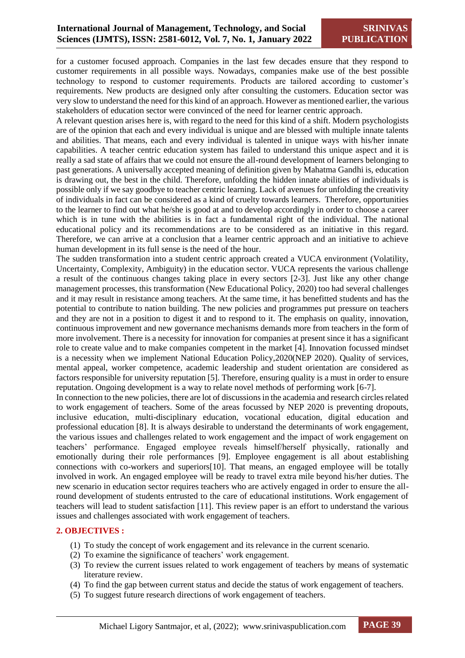for a customer focused approach. Companies in the last few decades ensure that they respond to customer requirements in all possible ways. Nowadays, companies make use of the best possible technology to respond to customer requirements. Products are tailored according to customer's requirements. New products are designed only after consulting the customers. Education sector was very slow to understand the need for this kind of an approach. However as mentioned earlier, the various stakeholders of education sector were convinced of the need for learner centric approach.

A relevant question arises here is, with regard to the need for this kind of a shift. Modern psychologists are of the opinion that each and every individual is unique and are blessed with multiple innate talents and abilities. That means, each and every individual is talented in unique ways with his/her innate capabilities. A teacher centric education system has failed to understand this unique aspect and it is really a sad state of affairs that we could not ensure the all-round development of learners belonging to past generations. A universally accepted meaning of definition given by Mahatma Gandhi is, education is drawing out, the best in the child. Therefore, unfolding the hidden innate abilities of individuals is possible only if we say goodbye to teacher centric learning. Lack of avenues for unfolding the creativity of individuals in fact can be considered as a kind of cruelty towards learners. Therefore, opportunities to the learner to find out what he/she is good at and to develop accordingly in order to choose a career which is in tune with the abilities is in fact a fundamental right of the individual. The national educational policy and its recommendations are to be considered as an initiative in this regard. Therefore, we can arrive at a conclusion that a learner centric approach and an initiative to achieve human development in its full sense is the need of the hour.

The sudden transformation into a student centric approach created a VUCA environment (Volatility, Uncertainty, Complexity, Ambiguity) in the education sector. VUCA represents the various challenge a result of the continuous changes taking place in every sectors [2-3]. Just like any other change management processes, this transformation (New Educational Policy, 2020) too had several challenges and it may result in resistance among teachers. At the same time, it has benefitted students and has the potential to contribute to nation building. The new policies and programmes put pressure on teachers and they are not in a position to digest it and to respond to it. The emphasis on quality, innovation, continuous improvement and new governance mechanisms demands more from teachers in the form of more involvement. There is a necessity for innovation for companies at present since it has a significant role to create value and to make companies competent in the market [4]. Innovation focussed mindset is a necessity when we implement National Education Policy,2020(NEP 2020). Quality of services, mental appeal, worker competence, academic leadership and student orientation are considered as factors responsible for university reputation [5]. Therefore, ensuring quality is a must in order to ensure reputation. Ongoing development is a way to relate novel methods of performing work [6-7].

In connection to the new policies, there are lot of discussions in the academia and research circles related to work engagement of teachers. Some of the areas focussed by NEP 2020 is preventing dropouts, inclusive education, multi-disciplinary education, vocational education, digital education and professional education [8]. It is always desirable to understand the determinants of work engagement, the various issues and challenges related to work engagement and the impact of work engagement on teachers' performance. Engaged employee reveals himself/herself physically, rationally and emotionally during their role performances [9]. Employee engagement is all about establishing connections with co-workers and superiors[10]. That means, an engaged employee will be totally involved in work. An engaged employee will be ready to travel extra mile beyond his/her duties. The new scenario in education sector requires teachers who are actively engaged in order to ensure the allround development of students entrusted to the care of educational institutions. Work engagement of teachers will lead to student satisfaction [11]. This review paper is an effort to understand the various issues and challenges associated with work engagement of teachers.

#### **2. OBJECTIVES :**

- (1) To study the concept of work engagement and its relevance in the current scenario.
- (2) To examine the significance of teachers' work engagement.
- (3) To review the current issues related to work engagement of teachers by means of systematic literature review.
- (4) To find the gap between current status and decide the status of work engagement of teachers.
- (5) To suggest future research directions of work engagement of teachers.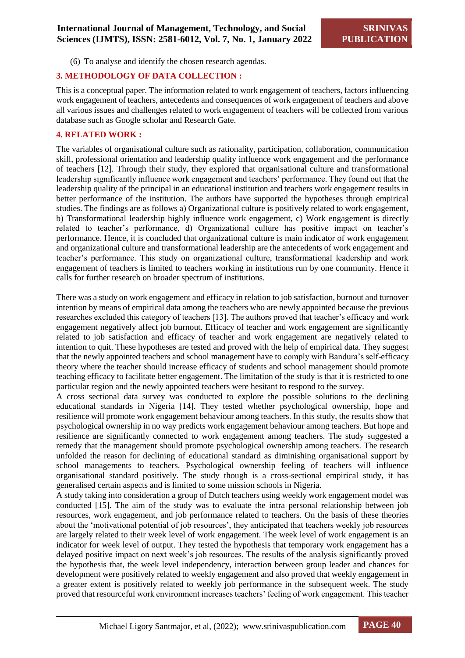(6) To analyse and identify the chosen research agendas.

## **3. METHODOLOGY OF DATA COLLECTION :**

This is a conceptual paper. The information related to work engagement of teachers, factors influencing work engagement of teachers, antecedents and consequences of work engagement of teachers and above all various issues and challenges related to work engagement of teachers will be collected from various database such as Google scholar and Research Gate.

### **4. RELATED WORK :**

The variables of organisational culture such as rationality, participation, collaboration, communication skill, professional orientation and leadership quality influence work engagement and the performance of teachers [12]. Through their study, they explored that organisational culture and transformational leadership significantly influence work engagement and teachers' performance. They found out that the leadership quality of the principal in an educational institution and teachers work engagement results in better performance of the institution. The authors have supported the hypotheses through empirical studies. The findings are as follows a) Organizational culture is positively related to work engagement, b) Transformational leadership highly influence work engagement, c) Work engagement is directly related to teacher's performance, d) Organizational culture has positive impact on teacher's performance. Hence, it is concluded that organizational culture is main indicator of work engagement and organizational culture and transformational leadership are the antecedents of work engagement and teacher's performance. This study on organizational culture, transformational leadership and work engagement of teachers is limited to teachers working in institutions run by one community. Hence it calls for further research on broader spectrum of institutions.

There was a study on work engagement and efficacy in relation to job satisfaction, burnout and turnover intention by means of empirical data among the teachers who are newly appointed because the previous researches excluded this category of teachers [13]. The authors proved that teacher's efficacy and work engagement negatively affect job burnout. Efficacy of teacher and work engagement are significantly related to job satisfaction and efficacy of teacher and work engagement are negatively related to intention to quit. These hypotheses are tested and proved with the help of empirical data. They suggest that the newly appointed teachers and school management have to comply with Bandura's self-efficacy theory where the teacher should increase efficacy of students and school management should promote teaching efficacy to facilitate better engagement. The limitation of the study is that it is restricted to one particular region and the newly appointed teachers were hesitant to respond to the survey.

A cross sectional data survey was conducted to explore the possible solutions to the declining educational standards in Nigeria [14]. They tested whether psychological ownership, hope and resilience will promote work engagement behaviour among teachers. In this study, the results show that psychological ownership in no way predicts work engagement behaviour among teachers. But hope and resilience are significantly connected to work engagement among teachers. The study suggested a remedy that the management should promote psychological ownership among teachers. The research unfolded the reason for declining of educational standard as diminishing organisational support by school managements to teachers. Psychological ownership feeling of teachers will influence organisational standard positively. The study though is a cross-sectional empirical study, it has generalised certain aspects and is limited to some mission schools in Nigeria.

A study taking into consideration a group of Dutch teachers using weekly work engagement model was conducted [15]. The aim of the study was to evaluate the intra personal relationship between job resources, work engagement, and job performance related to teachers. On the basis of these theories about the 'motivational potential of job resources', they anticipated that teachers weekly job resources are largely related to their week level of work engagement. The week level of work engagement is an indicator for week level of output. They tested the hypothesis that temporary work engagement has a delayed positive impact on next week's job resources. The results of the analysis significantly proved the hypothesis that, the week level independency, interaction between group leader and chances for development were positively related to weekly engagement and also proved that weekly engagement in a greater extent is positively related to weekly job performance in the subsequent week. The study proved that resourceful work environment increases teachers' feeling of work engagement. This teacher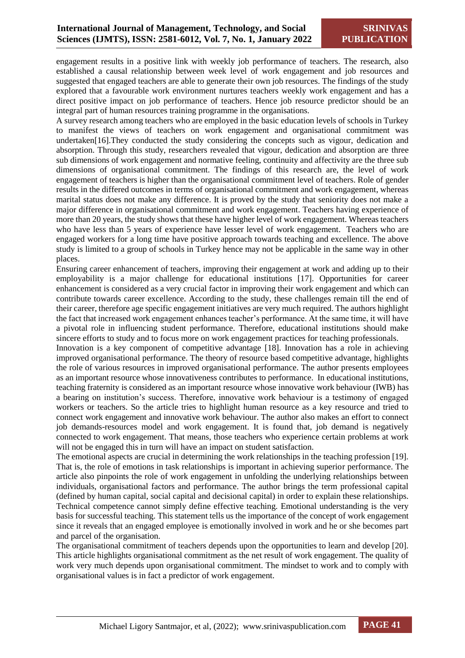engagement results in a positive link with weekly job performance of teachers. The research, also established a causal relationship between week level of work engagement and job resources and suggested that engaged teachers are able to generate their own job resources. The findings of the study explored that a favourable work environment nurtures teachers weekly work engagement and has a direct positive impact on job performance of teachers. Hence job resource predictor should be an integral part of human resources training programme in the organisations.

A survey research among teachers who are employed in the basic education levels of schools in Turkey to manifest the views of teachers on work engagement and organisational commitment was undertaken[16].They conducted the study considering the concepts such as vigour, dedication and absorption. Through this study, researchers revealed that vigour, dedication and absorption are three sub dimensions of work engagement and normative feeling, continuity and affectivity are the three sub dimensions of organisational commitment. The findings of this research are, the level of work engagement of teachers is higher than the organisational commitment level of teachers. Role of gender results in the differed outcomes in terms of organisational commitment and work engagement, whereas marital status does not make any difference. It is proved by the study that seniority does not make a major difference in organisational commitment and work engagement. Teachers having experience of more than 20 years, the study shows that these have higher level of work engagement. Whereas teachers who have less than 5 years of experience have lesser level of work engagement. Teachers who are engaged workers for a long time have positive approach towards teaching and excellence. The above study is limited to a group of schools in Turkey hence may not be applicable in the same way in other places.

Ensuring career enhancement of teachers, improving their engagement at work and adding up to their employability is a major challenge for educational institutions [17]. Opportunities for career enhancement is considered as a very crucial factor in improving their work engagement and which can contribute towards career excellence. According to the study, these challenges remain till the end of their career, therefore age specific engagement initiatives are very much required. The authors highlight the fact that increased work engagement enhances teacher's performance. At the same time, it will have a pivotal role in influencing student performance. Therefore, educational institutions should make sincere efforts to study and to focus more on work engagement practices for teaching professionals.

Innovation is a key component of competitive advantage [18]. Innovation has a role in achieving improved organisational performance. The theory of resource based competitive advantage, highlights the role of various resources in improved organisational performance. The author presents employees as an important resource whose innovativeness contributes to performance. In educational institutions, teaching fraternity is considered as an important resource whose innovative work behaviour (IWB) has a bearing on institution's success. Therefore, innovative work behaviour is a testimony of engaged workers or teachers. So the article tries to highlight human resource as a key resource and tried to connect work engagement and innovative work behaviour. The author also makes an effort to connect job demands-resources model and work engagement. It is found that, job demand is negatively connected to work engagement. That means, those teachers who experience certain problems at work will not be engaged this in turn will have an impact on student satisfaction.

The emotional aspects are crucial in determining the work relationships in the teaching profession [19]. That is, the role of emotions in task relationships is important in achieving superior performance. The article also pinpoints the role of work engagement in unfolding the underlying relationships between individuals, organisational factors and performance. The author brings the term professional capital (defined by human capital, social capital and decisional capital) in order to explain these relationships. Technical competence cannot simply define effective teaching. Emotional understanding is the very basis for successful teaching. This statement tells us the importance of the concept of work engagement since it reveals that an engaged employee is emotionally involved in work and he or she becomes part and parcel of the organisation.

The organisational commitment of teachers depends upon the opportunities to learn and develop [20]. This article highlights organisational commitment as the net result of work engagement. The quality of work very much depends upon organisational commitment. The mindset to work and to comply with organisational values is in fact a predictor of work engagement.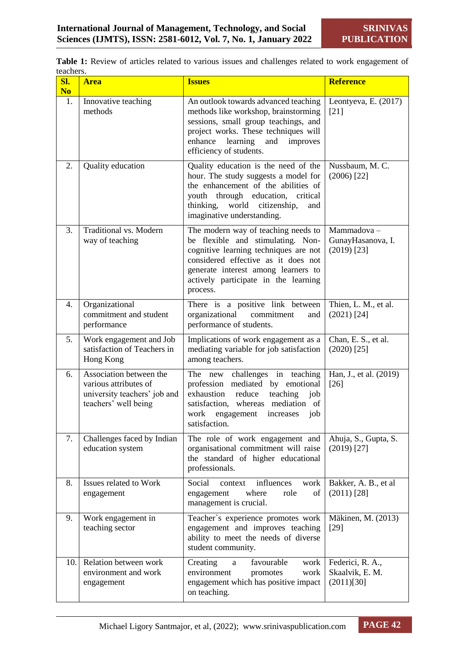Table 1: Review of articles related to various issues and challenges related to work engagement of teachers.

| SI.<br>N <sub>0</sub> | <b>Area</b>                                                                                              | <b>Issues</b>                                                                                                                                                                                                                                       | <b>Reference</b>                                  |
|-----------------------|----------------------------------------------------------------------------------------------------------|-----------------------------------------------------------------------------------------------------------------------------------------------------------------------------------------------------------------------------------------------------|---------------------------------------------------|
| 1.                    | Innovative teaching<br>methods                                                                           | An outlook towards advanced teaching<br>methods like workshop, brainstorming<br>sessions, small group teachings, and<br>project works. These techniques will<br>enhance learning<br>and<br>improves<br>efficiency of students.                      | Leontyeva, E. (2017)<br>$[21]$                    |
| 2.                    | Quality education                                                                                        | Quality education is the need of the<br>hour. The study suggests a model for<br>the enhancement of the abilities of<br>youth through education, critical<br>thinking, world citizenship,<br>and<br>imaginative understanding.                       | Nussbaum, M. C.<br>$(2006)$ [22]                  |
| 3.                    | Traditional vs. Modern<br>way of teaching                                                                | The modern way of teaching needs to<br>be flexible and stimulating. Non-<br>cognitive learning techniques are not<br>considered effective as it does not<br>generate interest among learners to<br>actively participate in the learning<br>process. | Mammadova-<br>GunayHasanova, I.<br>$(2019)$ [23]  |
| 4.                    | Organizational<br>commitment and student<br>performance                                                  | There is a positive link between<br>commitment<br>organizational<br>and<br>performance of students.                                                                                                                                                 | Thien, L. M., et al.<br>$(2021)$ [24]             |
| 5.                    | Work engagement and Job<br>satisfaction of Teachers in<br>Hong Kong                                      | Implications of work engagement as a<br>mediating variable for job satisfaction<br>among teachers.                                                                                                                                                  | Chan, E. S., et al.<br>$(2020)$ [25]              |
| 6.                    | Association between the<br>various attributes of<br>university teachers' job and<br>teachers' well being | The new challenges in teaching<br>profession mediated by emotional<br>exhaustion<br>reduce<br>teaching<br>job<br>satisfaction, whereas mediation of<br>work<br>engagement<br>increases<br>job<br>satisfaction.                                      | Han, J., et al. (2019)<br>$[26]$                  |
| 7.                    | Challenges faced by Indian<br>education system                                                           | The role of work engagement and<br>organisational commitment will raise<br>the standard of higher educational<br>professionals.                                                                                                                     | Ahuja, S., Gupta, S.<br>$(2019)$ [27]             |
| 8.                    | Issues related to Work<br>engagement                                                                     | influences<br>Social<br>context<br>work<br>where<br>role<br>οf<br>engagement<br>management is crucial.                                                                                                                                              | Bakker, A. B., et al<br>$(2011)$ [28]             |
| 9.                    | Work engagement in<br>teaching sector                                                                    | Teacher's experience promotes work<br>engagement and improves teaching<br>ability to meet the needs of diverse<br>student community.                                                                                                                | Mäkinen, M. (2013)<br>$[29]$                      |
| 10.1                  | Relation between work<br>environment and work<br>engagement                                              | favourable<br>Creating<br>work<br>a<br>environment<br>work<br>promotes<br>engagement which has positive impact<br>on teaching.                                                                                                                      | Federici, R. A.,<br>Skaalvik, E. M.<br>(2011)[30] |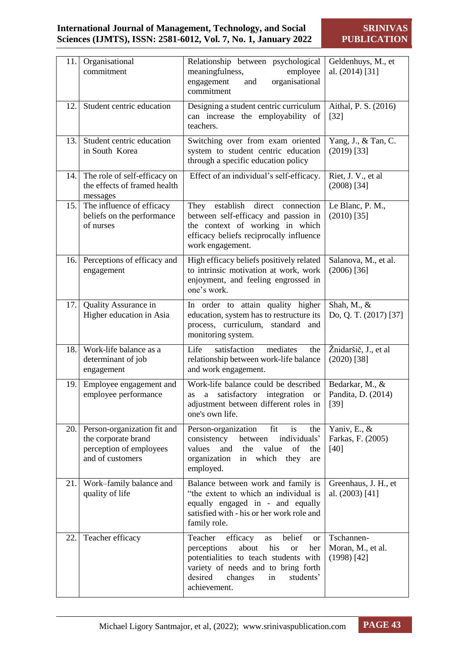| 11.1  | Organisational<br>commitment                                                                      | Relationship between psychological<br>meaningfulness,<br>employee<br>organisational<br>engagement<br>and<br>commitment                                                                                                                           | Geldenhuys, M., et<br>al. (2014) [31]            |
|-------|---------------------------------------------------------------------------------------------------|--------------------------------------------------------------------------------------------------------------------------------------------------------------------------------------------------------------------------------------------------|--------------------------------------------------|
| 12.   | Student centric education                                                                         | Designing a student centric curriculum<br>can increase the employability of<br>teachers.                                                                                                                                                         | Aithal, P. S. (2016)<br>$[32]$                   |
| 13.1  | Student centric education<br>in South Korea                                                       | Switching over from exam oriented<br>system to student centric education<br>through a specific education policy                                                                                                                                  | Yang, J., & Tan, C.<br>$(2019)$ [33]             |
| 14.1  | The role of self-efficacy on<br>the effects of framed health<br>messages                          | Effect of an individual's self-efficacy.                                                                                                                                                                                                         | Riet, J. V., et al<br>$(2008)$ [34]              |
| 15.1  | The influence of efficacy<br>beliefs on the performance<br>of nurses                              | establish<br>direct<br>They<br>connection<br>between self-efficacy and passion in<br>the context of working in which<br>efficacy beliefs reciprocally influence<br>work engagement.                                                              | Le Blanc, P. M.,<br>$(2010)$ [35]                |
| 16.1  | Perceptions of efficacy and<br>engagement                                                         | High efficacy beliefs positively related<br>to intrinsic motivation at work, work<br>enjoyment, and feeling engrossed in<br>one's work.                                                                                                          | Salanova, M., et al.<br>$(2006)$ [36]            |
| 17.1  | Quality Assurance in<br>Higher education in Asia                                                  | In order to attain quality higher<br>education, system has to restructure its<br>process, curriculum, standard and<br>monitoring system.                                                                                                         | Shah, M., &<br>Do, Q. T. (2017) [37]             |
| 18.   | Work-life balance as a<br>determinant of job<br>engagement                                        | Life<br>satisfaction<br>mediates<br>the<br>relationship between work-life balance<br>and work engagement.                                                                                                                                        | Žnidaršič, J., et al<br>$(2020)$ [38]            |
| 19.1  | Employee engagement and<br>employee performance                                                   | Work-life balance could be described<br>satisfactory<br>integration<br>a<br><b>or</b><br>as<br>adjustment between different roles in<br>one's own life.                                                                                          | Bedarkar, M., &<br>Pandita, D. (2014)<br>$[39]$  |
| 20. l | Person-organization fit and<br>the corporate brand<br>perception of employees<br>and of customers | Person-organization<br>fit<br>is<br>the<br>individuals'<br>consistency<br>between<br>values<br>and<br>the<br>value<br>of<br>the<br>organization<br>in which they<br>are<br>employed.                                                             | Yaniv, E., &<br>Farkas, F. (2005)<br>[40]        |
| 21.1  | Work-family balance and<br>quality of life                                                        | Balance between work and family is<br>"the extent to which an individual is<br>equally engaged in - and equally<br>satisfied with - his or her work role and<br>family role.                                                                     | Greenhaus, J. H., et<br>al. (2003) [41]          |
| 22.   | Teacher efficacy                                                                                  | efficacy<br>Teacher<br>belief<br>as<br><sub>or</sub><br>about<br>his<br>perceptions<br><b>or</b><br>her<br>potentialities to teach students with<br>variety of needs and to bring forth<br>desired<br>changes<br>students'<br>in<br>achievement. | Tschannen-<br>Moran, M., et al.<br>$(1998)$ [42] |

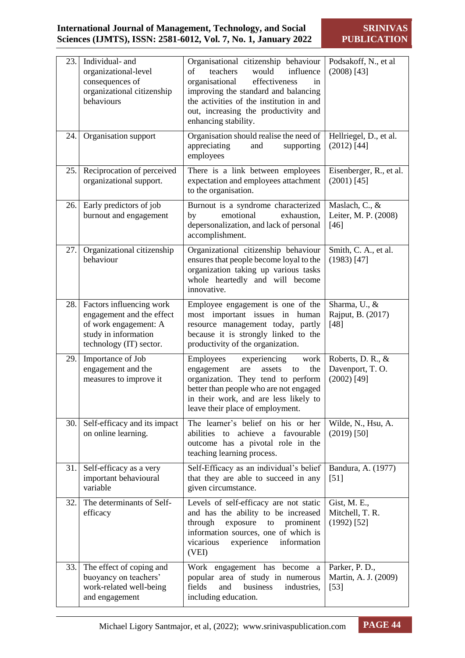| 23.  | Individual- and<br>organizational-level<br>consequences of<br>organizational citizenship<br>behaviours                                | Organisational citizenship behaviour<br>influence<br>teachers<br>would<br>of<br>organisational<br>effectiveness<br>in<br>improving the standard and balancing<br>the activities of the institution in and<br>out, increasing the productivity and<br>enhancing stability. | Podsakoff, N., et al<br>$(2008)$ [43]                 |
|------|---------------------------------------------------------------------------------------------------------------------------------------|---------------------------------------------------------------------------------------------------------------------------------------------------------------------------------------------------------------------------------------------------------------------------|-------------------------------------------------------|
| 24.  | Organisation support                                                                                                                  | Organisation should realise the need of<br>appreciating<br>and<br>supporting<br>employees                                                                                                                                                                                 | Hellriegel, D., et al.<br>$(2012)$ [44]               |
| 25.1 | Reciprocation of perceived<br>organizational support.                                                                                 | There is a link between employees<br>expectation and employees attachment<br>to the organisation.                                                                                                                                                                         | Eisenberger, R., et al.<br>$(2001)$ [45]              |
| 26.  | Early predictors of job<br>burnout and engagement                                                                                     | Burnout is a syndrome characterized<br>emotional<br>by<br>exhaustion,<br>depersonalization, and lack of personal<br>accomplishment.                                                                                                                                       | Maslach, C., &<br>Leiter, M. P. (2008)<br>$[46]$      |
| 27.1 | Organizational citizenship<br>behaviour                                                                                               | Organizational citizenship behaviour<br>ensures that people become loyal to the<br>organization taking up various tasks<br>whole heartedly and will become<br>innovative.                                                                                                 | Smith, C. A., et al.<br>$(1983)$ [47]                 |
|      | 28. Factors influencing work<br>engagement and the effect<br>of work engagement: A<br>study in information<br>technology (IT) sector. | Employee engagement is one of the<br>most important issues in human<br>resource management today, partly<br>because it is strongly linked to the<br>productivity of the organization.                                                                                     | Sharma, U., &<br>Rajput, B. (2017)<br>[48]            |
| 29.1 | Importance of Job<br>engagement and the<br>measures to improve it                                                                     | Employees<br>experiencing<br>work<br>engagement<br>the<br>are<br>assets<br>to<br>organization. They tend to perform<br>better than people who are not engaged<br>in their work, and are less likely to<br>leave their place of employment.                                | Roberts, D. R., &<br>Davenport, T.O.<br>$(2002)$ [49] |
| 30.1 | Self-efficacy and its impact<br>on online learning.                                                                                   | The learner's belief on his or her<br>abilities<br>achieve<br>favourable<br>to<br>a<br>outcome has a pivotal role in the<br>teaching learning process.                                                                                                                    | Wilde, N., Hsu, A.<br>$(2019)$ [50]                   |
| 31.1 | Self-efficacy as a very<br>important behavioural<br>variable                                                                          | Self-Efficacy as an individual's belief<br>that they are able to succeed in any<br>given circumstance.                                                                                                                                                                    | Bandura, A. (1977)<br>[51]                            |
| 32.  | The determinants of Self-<br>efficacy                                                                                                 | Levels of self-efficacy are not static<br>and has the ability to be increased<br>through<br>exposure<br>prominent<br>to<br>information sources, one of which is<br>vicarious<br>experience<br>information<br>(VEI)                                                        | Gist, M. E.,<br>Mitchell, T. R.<br>$(1992)$ [52]      |
| 33.1 | The effect of coping and<br>buoyancy on teachers'<br>work-related well-being<br>and engagement                                        | Work engagement has become<br>a<br>popular area of study in numerous<br>fields<br>business<br>and<br>industries,<br>including education.                                                                                                                                  | Parker, P. D.,<br>Martin, A. J. (2009)<br>$[53]$      |

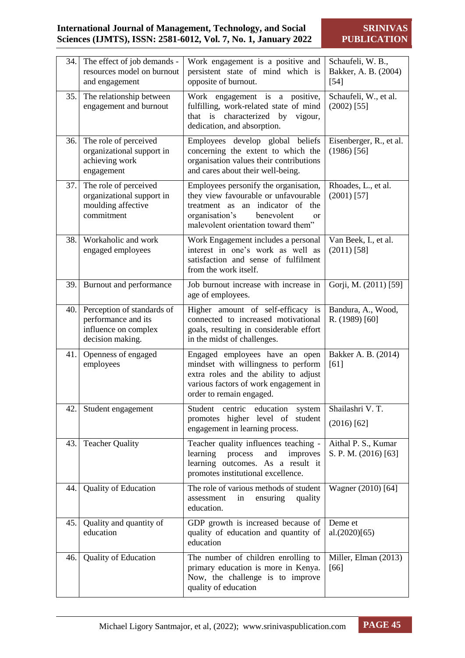|      | 34. The effect of job demands -<br>resources model on burnout<br>and engagement               | Work engagement is a positive and<br>persistent state of mind which is<br>opposite of burnout.                                                                                                                  | Schaufeli, W. B.,<br>Bakker, A. B. (2004)<br>$[54]$ |
|------|-----------------------------------------------------------------------------------------------|-----------------------------------------------------------------------------------------------------------------------------------------------------------------------------------------------------------------|-----------------------------------------------------|
| 35.1 | The relationship between<br>engagement and burnout                                            | Work engagement is a positive,<br>fulfilling, work-related state of mind<br>characterized by<br>that is<br>vigour,<br>dedication, and absorption.                                                               | Schaufeli, W., et al.<br>$(2002)$ [55]              |
| 36.  | The role of perceived<br>organizational support in<br>achieving work<br>engagement            | Employees develop global beliefs<br>concerning the extent to which the<br>organisation values their contributions<br>and cares about their well-being.                                                          | Eisenberger, R., et al.<br>$(1986)$ [56]            |
| 37.1 | The role of perceived<br>organizational support in<br>moulding affective<br>commitment        | Employees personify the organisation,<br>they view favourable or unfavourable<br>treatment as<br>an indicator of<br>the<br>organisation's<br>benevolent<br><sub>or</sub><br>malevolent orientation toward them" | Rhoades, L., et al.<br>$(2001)$ [57]                |
| 38.1 | Workaholic and work<br>engaged employees                                                      | Work Engagement includes a personal<br>interest in one's work as well as<br>satisfaction and sense of fulfilment<br>from the work itself.                                                                       | Van Beek, I., et al.<br>$(2011)$ [58]               |
|      | 39. Burnout and performance                                                                   | Job burnout increase with increase in<br>age of employees.                                                                                                                                                      | Gorji, M. (2011) [59]                               |
| 40.1 | Perception of standards of<br>performance and its<br>influence on complex<br>decision making. | Higher amount of self-efficacy is<br>connected to increased motivational<br>goals, resulting in considerable effort<br>in the midst of challenges.                                                              | Bandura, A., Wood,<br>R. (1989) [60]                |
| 41.  | Openness of engaged<br>employees                                                              | Engaged employees have an open<br>mindset with willingness to perform<br>extra roles and the ability to adjust<br>various factors of work engagement in<br>order to remain engaged.                             | Bakker A. B. (2014)<br>[61]                         |
| 42.  | Student engagement                                                                            | Student centric<br>education<br>system<br>promotes higher level of<br>student<br>engagement in learning process.                                                                                                | Shailashri V.T.<br>$(2016)$ [62]                    |
| 43.  | <b>Teacher Quality</b>                                                                        | Teacher quality influences teaching -<br>learning<br>and<br>improves<br>process<br>learning outcomes. As a result it<br>promotes institutional excellence.                                                      | Aithal P. S., Kumar<br>S. P. M. (2016) [63]         |
| 44.  | <b>Quality of Education</b>                                                                   | The role of various methods of student<br>assessment<br>in<br>ensuring<br>quality<br>education.                                                                                                                 | Wagner (2010) [64]                                  |
| 45.  | Quality and quantity of<br>education                                                          | GDP growth is increased because of<br>quality of education and quantity of<br>education                                                                                                                         | Deme et<br>al.(2020)[65)                            |
| 46.  | <b>Quality of Education</b>                                                                   | The number of children enrolling to<br>primary education is more in Kenya.<br>Now, the challenge is to improve<br>quality of education                                                                          | Miller, Elman (2013)<br>[66]                        |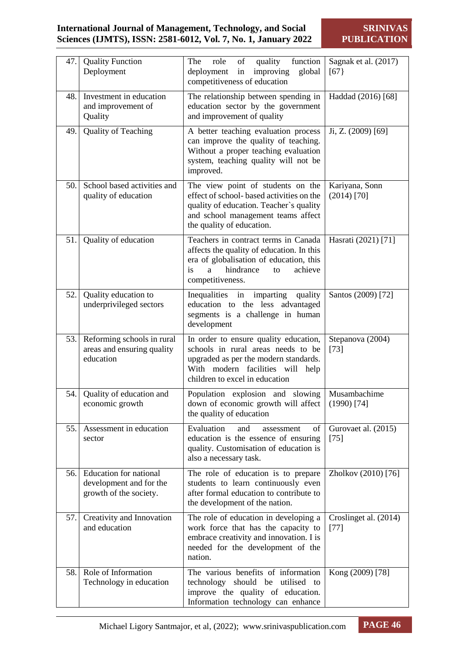| 47.   | <b>Quality Function</b><br>Deployment                                              | of<br>function<br>The<br>role<br>quality<br>deployment<br>improving<br>in<br>global<br>competitiveness of education                                                                           | Sagnak et al. (2017)<br>[67]    |
|-------|------------------------------------------------------------------------------------|-----------------------------------------------------------------------------------------------------------------------------------------------------------------------------------------------|---------------------------------|
| 48.   | Investment in education<br>and improvement of<br>Quality                           | The relationship between spending in<br>education sector by the government<br>and improvement of quality                                                                                      | Haddad (2016) [68]              |
| 49.   | Quality of Teaching                                                                | A better teaching evaluation process<br>can improve the quality of teaching.<br>Without a proper teaching evaluation<br>system, teaching quality will not be<br>improved.                     | Ji, Z. (2009) [69]              |
| 50.   | School based activities and<br>quality of education                                | The view point of students on the<br>effect of school- based activities on the<br>quality of education. Teacher's quality<br>and school management teams affect<br>the quality of education.  | Kariyana, Sonn<br>$(2014)$ [70] |
| 51.   | Quality of education                                                               | Teachers in contract terms in Canada<br>affects the quality of education. In this<br>era of globalisation of education, this<br>hindrance<br>is<br>achieve<br>a<br>to<br>competitiveness.     | Hasrati (2021) [71]             |
| 52.   | Quality education to<br>underprivileged sectors                                    | imparting<br>quality<br>Inequalities<br>in<br>education to the less advantaged<br>segments is a challenge in human<br>development                                                             | Santos (2009) [72]              |
| 53.1  | Reforming schools in rural<br>areas and ensuring quality<br>education              | In order to ensure quality education,<br>schools in rural areas needs to be<br>upgraded as per the modern standards.<br>With modern facilities will<br>help<br>children to excel in education | Stepanova (2004)<br>$[73]$      |
| 54.   | Quality of education and<br>economic growth                                        | Population explosion and slowing<br>down of economic growth will affect<br>the quality of education                                                                                           | Musambachime<br>$(1990)$ [74]   |
| 55.   | Assessment in education<br>sector                                                  | Evaluation<br>and<br>οf<br>assessment<br>education is the essence of ensuring<br>quality. Customisation of education is<br>also a necessary task.                                             | Gurovaet al. (2015)<br>$[75]$   |
| 56. l | <b>Education</b> for national<br>development and for the<br>growth of the society. | The role of education is to prepare<br>students to learn continuously even<br>after formal education to contribute to<br>the development of the nation.                                       | Zholkov (2010) [76]             |
| 57.1  | Creativity and Innovation<br>and education                                         | The role of education in developing a<br>work force that has the capacity to<br>embrace creativity and innovation. I is<br>needed for the development of the<br>nation.                       | Croslinget al. (2014)<br>$[77]$ |
| 58.   | Role of Information<br>Technology in education                                     | The various benefits of information<br>technology should be utilised to<br>improve the quality of education.<br>Information technology can enhance                                            | Kong (2009) [78]                |

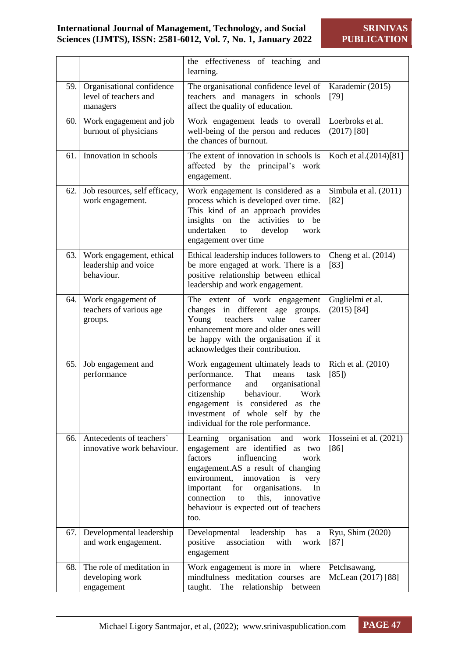|      |                                                                | the effectiveness of teaching<br>and<br>learning.                                                                                                                                                                                                                                                                                    |                                    |
|------|----------------------------------------------------------------|--------------------------------------------------------------------------------------------------------------------------------------------------------------------------------------------------------------------------------------------------------------------------------------------------------------------------------------|------------------------------------|
| 59.1 | Organisational confidence<br>level of teachers and<br>managers | The organisational confidence level of<br>teachers and managers in schools<br>affect the quality of education.                                                                                                                                                                                                                       | Karademir (2015)<br>$[79]$         |
| 60.  | Work engagement and job<br>burnout of physicians               | Work engagement leads to overall<br>well-being of the person and reduces<br>the chances of burnout.                                                                                                                                                                                                                                  | Loerbroks et al.<br>$(2017)$ [80]  |
| 61.  | Innovation in schools                                          | The extent of innovation in schools is<br>affected by the principal's<br>work<br>engagement.                                                                                                                                                                                                                                         | Koch et al. (2014) <sup>[81]</sup> |
| 62.  | Job resources, self efficacy,<br>work engagement.              | Work engagement is considered as a<br>process which is developed over time.<br>This kind of an approach provides<br>activities<br>insights on<br>the<br>to be<br>undertaken<br>develop<br>to<br>work<br>engagement over time                                                                                                         | Simbula et al. (2011)<br>[82]      |
| 63.1 | Work engagement, ethical<br>leadership and voice<br>behaviour. | Ethical leadership induces followers to<br>be more engaged at work. There is a<br>positive relationship between ethical<br>leadership and work engagement.                                                                                                                                                                           | Cheng et al. (2014)<br>$[83]$      |
| 64.1 | Work engagement of<br>teachers of various age<br>groups.       | The extent of work engagement<br>changes in different<br>age<br>groups.<br>Young<br>teachers<br>value<br>career<br>enhancement more and older ones will<br>be happy with the organisation if it<br>acknowledges their contribution.                                                                                                  | Guglielmi et al.<br>$(2015)$ [84]  |
| 65.  | Job engagement and<br>performance                              | Work engagement ultimately leads to<br>performance.<br>That<br>means<br>task<br>performance<br>and<br>organisational<br>citizenship<br>behaviour.<br>Work<br>engagement is considered<br>the<br>as<br>investment of whole self by<br>the<br>individual for the role performance.                                                     | Rich et al. (2010)<br>[85]         |
| 66.  | Antecedents of teachers'<br>innovative work behaviour.         | Learning organisation<br>and<br>work<br>engagement are identified as two<br>factors<br>influencing<br>work<br>engagement.AS a result of changing<br>environment,<br>innovation<br>is<br>very<br>important<br>for<br>organisations.<br>In<br>connection<br>this,<br>innovative<br>to<br>behaviour is expected out of teachers<br>too. | Hosseini et al. (2021)<br>[86]     |
| 67.  | Developmental leadership<br>and work engagement.               | Developmental<br>leadership<br>has<br>a<br>positive<br>association<br>with<br>work<br>engagement                                                                                                                                                                                                                                     | Ryu, Shim (2020)<br>$[87]$         |
| 68.  | The role of meditation in<br>developing work<br>engagement     | Work engagement is more in<br>where<br>mindfulness meditation courses are<br>relationship<br>The<br>taught.<br>between                                                                                                                                                                                                               | Petchsawang,<br>McLean (2017) [88] |

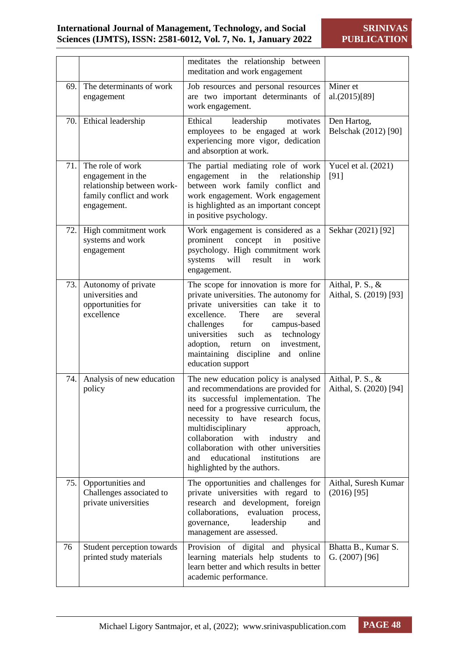|      |                                                                                                                | meditates the relationship between<br>meditation and work engagement                                                                                                                                                                                                                                                                                                                                 |                                            |
|------|----------------------------------------------------------------------------------------------------------------|------------------------------------------------------------------------------------------------------------------------------------------------------------------------------------------------------------------------------------------------------------------------------------------------------------------------------------------------------------------------------------------------------|--------------------------------------------|
| 69.  | The determinants of work<br>engagement                                                                         | Job resources and personal resources<br>are two important determinants of<br>work engagement.                                                                                                                                                                                                                                                                                                        | Miner et<br>al.(2015)[89]                  |
| 70.1 | Ethical leadership                                                                                             | Ethical<br>leadership<br>motivates<br>employees to be engaged at work<br>experiencing more vigor, dedication<br>and absorption at work.                                                                                                                                                                                                                                                              | Den Hartog,<br>Belschak (2012) [90]        |
| 71.  | The role of work<br>engagement in the<br>relationship between work-<br>family conflict and work<br>engagement. | The partial mediating role of work<br>the<br>relationship<br>engagement<br>in<br>between work family conflict and<br>work engagement. Work engagement<br>is highlighted as an important concept<br>in positive psychology.                                                                                                                                                                           | Yucel et al. (2021)<br>[91]                |
| 72.  | High commitment work<br>systems and work<br>engagement                                                         | Work engagement is considered as a<br>prominent<br>concept<br>in<br>positive<br>psychology. High commitment work<br>will<br>systems<br>result<br>in<br>work<br>engagement.                                                                                                                                                                                                                           | Sekhar (2021) [92]                         |
| 73.1 | Autonomy of private<br>universities and<br>opportunities for<br>excellence                                     | The scope for innovation is more for<br>private universities. The autonomy for<br>private universities can take it to<br>There<br>excellence.<br>several<br>are<br>challenges<br>for<br>campus-based<br>universities<br>technology<br>such<br>as<br>adoption,<br>investment,<br>return<br>on<br>maintaining discipline<br>and online<br>education support                                            | Aithal, P. S., &<br>Aithal, S. (2019) [93] |
| 74.  | Analysis of new education<br>policy                                                                            | The new education policy is analysed<br>and recommendations are provided for<br>its successful implementation. The<br>need for a progressive curriculum, the<br>necessity to have research focus,<br>multidisciplinary<br>approach,<br>collaboration<br>with<br>industry<br>and<br>collaboration with other universities<br>educational<br>and<br>institutions<br>are<br>highlighted by the authors. | Aithal, P. S., &<br>Aithal, S. (2020) [94] |
| 75.  | Opportunities and<br>Challenges associated to<br>private universities                                          | The opportunities and challenges for<br>private universities with regard to<br>research and development,<br>foreign<br>collaborations,<br>evaluation<br>process,<br>leadership<br>governance,<br>and<br>management are assessed.                                                                                                                                                                     | Aithal, Suresh Kumar<br>$(2016)$ [95]      |
| 76   | Student perception towards<br>printed study materials                                                          | Provision of digital and physical<br>learning materials help students to<br>learn better and which results in better<br>academic performance.                                                                                                                                                                                                                                                        | Bhatta B., Kumar S.<br>G. $(2007)$ [96]    |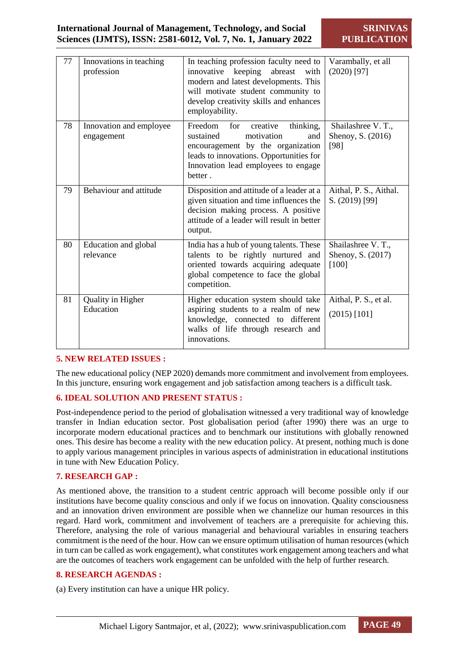**SRINIVAS PUBLICATION**

| 77 | Innovations in teaching<br>profession | In teaching profession faculty need to<br>keeping<br>abreast<br>innovative<br>with<br>modern and latest developments. This<br>will motivate student community to<br>develop creativity skills and enhances<br>employability. | Varambally, et all<br>$(2020)$ [97]               |
|----|---------------------------------------|------------------------------------------------------------------------------------------------------------------------------------------------------------------------------------------------------------------------------|---------------------------------------------------|
| 78 | Innovation and employee<br>engagement | Freedom<br>for<br>thinking,<br>creative<br>sustained<br>motivation<br>and<br>encouragement by the organization<br>leads to innovations. Opportunities for<br>Innovation lead employees to engage<br>better.                  | Shailashree V.T.,<br>Shenoy, S. (2016)<br>[98]    |
| 79 | Behaviour and attitude                | Disposition and attitude of a leader at a<br>given situation and time influences the<br>decision making process. A positive<br>attitude of a leader will result in better<br>output.                                         | Aithal, P. S., Aithal.<br>S. (2019) [99]          |
| 80 | Education and global<br>relevance     | India has a hub of young talents. These<br>talents to be rightly nurtured and<br>oriented towards acquiring adequate<br>global competence to face the global<br>competition.                                                 | Shailashree V.T.,<br>Shenoy, S. (2017)<br>$[100]$ |
| 81 | Quality in Higher<br>Education        | Higher education system should take<br>aspiring students to a realm of new<br>knowledge, connected to different<br>walks of life through research and<br>innovations.                                                        | Aithal, P. S., et al.<br>$(2015)$ [101]           |

#### **5. NEW RELATED ISSUES :**

The new educational policy (NEP 2020) demands more commitment and involvement from employees. In this juncture, ensuring work engagement and job satisfaction among teachers is a difficult task.

## **6. IDEAL SOLUTION AND PRESENT STATUS :**

Post-independence period to the period of globalisation witnessed a very traditional way of knowledge transfer in Indian education sector. Post globalisation period (after 1990) there was an urge to incorporate modern educational practices and to benchmark our institutions with globally renowned ones. This desire has become a reality with the new education policy. At present, nothing much is done to apply various management principles in various aspects of administration in educational institutions in tune with New Education Policy.

#### **7. RESEARCH GAP :**

As mentioned above, the transition to a student centric approach will become possible only if our institutions have become quality conscious and only if we focus on innovation. Quality consciousness and an innovation driven environment are possible when we channelize our human resources in this regard. Hard work, commitment and involvement of teachers are a prerequisite for achieving this. Therefore, analysing the role of various managerial and behavioural variables in ensuring teachers commitment is the need of the hour. How can we ensure optimum utilisation of human resources (which in turn can be called as work engagement), what constitutes work engagement among teachers and what are the outcomes of teachers work engagement can be unfolded with the help of further research.

## **8. RESEARCH AGENDAS :**

(a) Every institution can have a unique HR policy.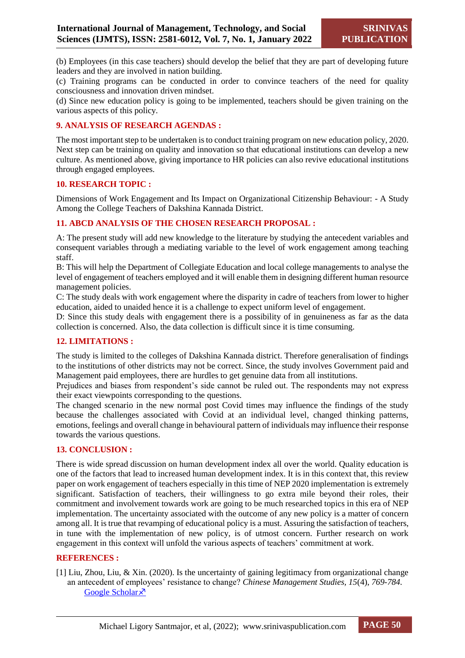(b) Employees (in this case teachers) should develop the belief that they are part of developing future leaders and they are involved in nation building.

(c) Training programs can be conducted in order to convince teachers of the need for quality consciousness and innovation driven mindset.

(d) Since new education policy is going to be implemented, teachers should be given training on the various aspects of this policy.

#### **9. ANALYSIS OF RESEARCH AGENDAS :**

The most important step to be undertaken is to conduct training program on new education policy, 2020. Next step can be training on quality and innovation so that educational institutions can develop a new culture. As mentioned above, giving importance to HR policies can also revive educational institutions through engaged employees.

#### **10. RESEARCH TOPIC :**

Dimensions of Work Engagement and Its Impact on Organizational Citizenship Behaviour: - A Study Among the College Teachers of Dakshina Kannada District.

#### **11. ABCD ANALYSIS OF THE CHOSEN RESEARCH PROPOSAL :**

A: The present study will add new knowledge to the literature by studying the antecedent variables and consequent variables through a mediating variable to the level of work engagement among teaching staff.

B: This will help the Department of Collegiate Education and local college managements to analyse the level of engagement of teachers employed and it will enable them in designing different human resource management policies.

C: The study deals with work engagement where the disparity in cadre of teachers from lower to higher education, aided to unaided hence it is a challenge to expect uniform level of engagement.

D: Since this study deals with engagement there is a possibility of in genuineness as far as the data collection is concerned. Also, the data collection is difficult since it is time consuming.

## **12. LIMITATIONS :**

The study is limited to the colleges of Dakshina Kannada district. Therefore generalisation of findings to the institutions of other districts may not be correct. Since, the study involves Government paid and Management paid employees, there are hurdles to get genuine data from all institutions.

Prejudices and biases from respondent's side cannot be ruled out. The respondents may not express their exact viewpoints corresponding to the questions.

The changed scenario in the new normal post Covid times may influence the findings of the study because the challenges associated with Covid at an individual level, changed thinking patterns, emotions, feelings and overall change in behavioural pattern of individuals may influence their response towards the various questions.

#### **13. CONCLUSION :**

There is wide spread discussion on human development index all over the world. Quality education is one of the factors that lead to increased human development index. It is in this context that, this review paper on work engagement of teachers especially in this time of NEP 2020 implementation is extremely significant. Satisfaction of teachers, their willingness to go extra mile beyond their roles, their commitment and involvement towards work are going to be much researched topics in this era of NEP implementation. The uncertainty associated with the outcome of any new policy is a matter of concern among all. It is true that revamping of educational policy is a must. Assuring the satisfaction of teachers, in tune with the implementation of new policy, is of utmost concern. Further research on work engagement in this context will unfold the various aspects of teachers' commitment at work.

#### **REFERENCES :**

[1] Liu, Zhou, Liu, & Xin. (2020). Is the uncertainty of gaining legitimacy from organizational change an antecedent of employees' resistance to change? *Chinese Management Studies, 15*(4), *769-784.* [Google Scholar](https://www.emerald.com/insight/content/doi/10.1108/CMS-07-2020-0309/full/html) ×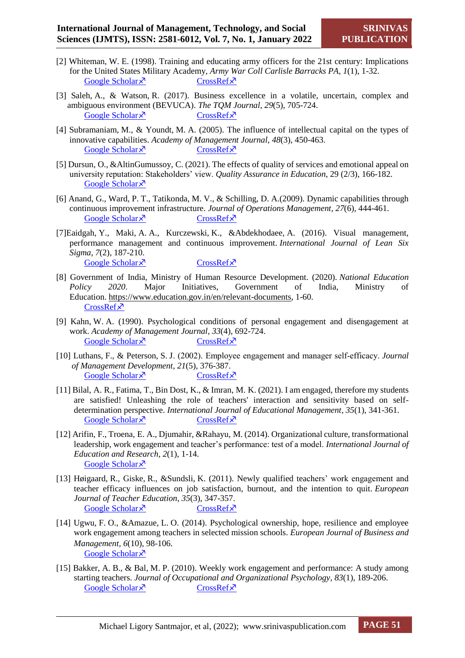- [2] Whiteman, W. E. (1998). Training and educating army officers for the 21st century: Implications for the United States Military Academy, *Army War Coll Carlisle Barracks PA, 1*(1), 1-32. [Google Scholar](https://apps.dtic.mil/sti/citations/ADA345812)  $\times$  [CrossRef](https://apps.dtic.mil/sti/pdfs/ADA345812.pdf) $\times$
- [3] Saleh, A., & Watson, R. (2017). Business excellence in a volatile, uncertain, complex and ambiguous environment (BEVUCA). *The TQM Journal*, *29*(5), 705-724. [Google Scholar](https://www.emerald.com/insight/content/doi/10.1108/TQM-12-2016-0109/full/html)  $\bar{x}$  [CrossRef](https://sci-hub.mksa.top/10.1108/TQM-12-2016-0109)  $\bar{x}$
- [4] Subramaniam, M., & Youndt, M. A. (2005). The influence of intellectual capital on the types of innovative capabilities. *Academy of Management Journal*, *48*(3), 450-463.<br>
<u>Google Scholar  $\times$ </u> CrossRef  $\times$ [Google Scholar](https://journals.aom.org/doi/abs/10.5465/AMJ.2005.17407911) $\bar{X}$
- [5] Dursun, O., &AltinGumussoy, C. (2021). The effects of quality of services and emotional appeal on university reputation: Stakeholders' view. *Quality Assurance in Education*, 29 (2/3), 166-182. Google Scholar ×
- [6] Anand, G., Ward, P. T., Tatikonda, M. V., & Schilling, D. A.(2009). Dynamic capabilities through continuous improvement infrastructure. *Journal of Operations Management*, *27*(6), 444-461. [Google Scholar](https://www.sciencedirect.com/science/article/abs/pii/S0272696309000199)  $\bar{x}$  [CrossRef](https://sci-hub.mksa.top/10.1016/j.jom.2009.02.002)  $\bar{x}$
- [7]Eaidgah, Y., Maki, A. A., Kurczewski, K., &Abdekhodaee, A. (2016). Visual management, performance management and continuous improvement. *International Journal of Lean Six Sigma*, *7*(2), 187-210. [Google Scholar](https://www.emerald.com/insight/content/doi/10.1108/IJLSS-09-2014-0028/full/html)  $\overline{X}$  [CrossRef](https://sci-hub.mksa.top/10.1108/IJLSS-09-2014-0028)  $\overline{X}$
- [8] Government of India, Ministry of Human Resource Development. (2020). *National Education Policy 2020*. Major Initiatives, Government of India, Ministry of Education. [https://www.education.gov.in/en/relevant-documents,](https://www.education.gov.in/en/relevant-documents) 1-60. [CrossRef](https://www.education.gov.in/sites/upload_files/mhrd/files/nep/NEP_Final_English.pdf)<sup> $\chi$ </sup>
- [9] Kahn, W. A. (1990). Psychological conditions of personal engagement and disengagement at work. *Academy of Management Journal*, *33*(4), 692-724. [Google Scholar](https://journals.aom.org/doi/abs/10.5465/256287)  $\times$  [CrossRef](https://sci-hub.mksa.top/10.5465/256287) $\times$
- [10] Luthans, F., & Peterson, S. J. (2002). Employee engagement and manager self‐efficacy. *Journal of Management Development*, *21*(5), 376-387. [Google Scholar](https://elibrary.ru/item.asp?id=6472883)  $\times$  [CrossRef](https://sci-hub.mksa.top/10.1108/02621710210426864) $\times$
- [11] Bilal, A. R., Fatima, T., Bin Dost, K., & Imran, M. K. (2021). I am engaged, therefore my students are satisfied! Unleashing the role of teachers' interaction and sensitivity based on selfdetermination perspective. *International Journal of Educational Management*, *35*(1), 341-361. [Google Scholar](https://www.emerald.com/insight/content/doi/10.1108/IJEM-05-2020-0258/full/html)  $\times$  [CrossRef](https://sci-hub.mksa.top/10.1108/IJEM-05-2020-0258)  $\times$
- [12] Arifin, F., Troena, E. A., Djumahir, &Rahayu, M. (2014). Organizational culture, transformational leadership, work engagement and teacher's performance: test of a model. *International Journal of Education and Research*, *2*(1), 1-14. [Google Scholar](https://www.ijern.com/journal/January-2014/24.pdf) ×
- [13] Høigaard, R., Giske, R., &Sundsli, K. (2011). Newly qualified teachers' work engagement and teacher efficacy influences on job satisfaction, burnout, and the intention to quit. *European Journal of Teacher Education*, *35*(3), 347-357. [Google Scholar](https://www.tandfonline.com/doi/abs/10.1080/02619768.2011.633993)  $\times$  [CrossRef](https://sci-hub.mksa.top/10.1080/02619768.2011.633993) $\times$
- [14] Ugwu, F. O., &Amazue, L. O. (2014). Psychological ownership, hope, resilience and employee work engagement among teachers in selected mission schools. *European Journal of Business and Management, 6*(10), 98-106. [Google Scholar](https://core.ac.uk/download/pdf/234625408.pdf)<sup> $\lambda$ </sup>
- [15] Bakker, A. B., & Bal, M. P. (2010). Weekly work engagement and performance: A study among starting teachers. *Journal of Occupational and Organizational Psychology*, *83*(1), 189-206. [Google Scholar](https://bpspsychub.onlinelibrary.wiley.com/doi/abs/10.1348/096317909X402596)  $\times$  [CrossRef](https://sci-hub.mksa.top/10.1348/096317909x402596)  $\times$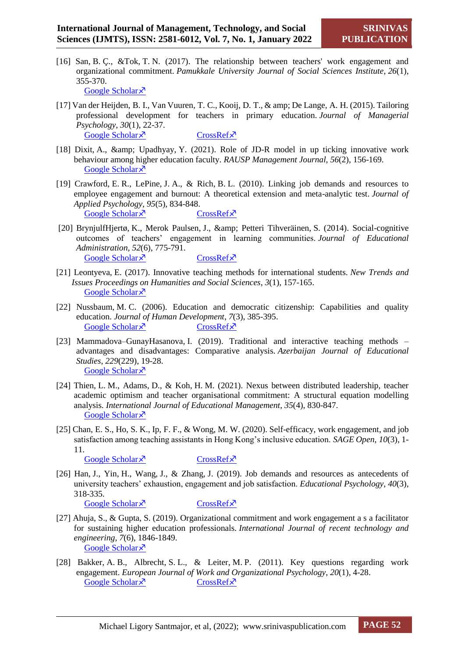- [16] San, B. Ç., &Tok, T. N. (2017). The relationship between teachers' work engagement and organizational commitment. *Pamukkale University Journal of Social Sciences Institute*, *26*(1), 355-370. [Google Scholar](https://web.s.ebscohost.com/abstract?direct=true&profile=ehost&scope=site&authtype=crawler&jrnl=13082922&AN=121634958&h=E1W5GKqHJeHWfkn0eiJCeALNKdYGA4iHOPxQf56yw%2fuVpffR4vwOOSxVxYolGc8%2bYCGtkJQHM16Ylo8LMxCmHg%3d%3d&crl=c&resultNs=AdminWebAuth&resultLocal=ErrCrlNotAuth&crlhashurl=login.aspx%3fdirect%3dtrue%26profile%3dehost%26scope%3dsite%26authtype%3dcrawler%26jrnl%3d13082922%26AN%3d121634958) ×
- [17] Van der Heijden, B. I., Van Vuuren, T. C., Kooij, D. T., & amp; De Lange, A. H. (2015). Tailoring professional development for teachers in primary education. *Journal of Managerial Psychology*, *30*(1), 22-37. [Google Scholar](https://www.emerald.com/insight/content/doi/10.1108/JMP-07-2014-0211/full/html)  $\bar{x}$  [CrossRef](https://sci-hub.mksa.top/10.1108/jmp-07-2014-0211)  $\bar{x}$
- [18] Dixit, A., & amp; Upadhyay, Y. (2021). Role of JD-R model in up ticking innovative work behaviour among higher education faculty. *RAUSP Management Journal, 56*(2), 156-169. [Google Scholar](https://www.emerald.com/insight/content/doi/10.1108/RAUSP-03-2020-0060/full/html) ×
- [19] Crawford, E. R., LePine, J. A., & Rich, B. L. (2010). Linking job demands and resources to employee engagement and burnout: A theoretical extension and meta-analytic test. *Journal of Applied Psychology*, *95*(5), 834-848. [Google Scholar](https://psycnet.apa.org/doiLanding?doi=10.1037%2Fa0019364)  $\times$  [CrossRef](https://sci-hub.mksa.top/10.1037/a0019364)  $\times$
- [20] BrynjulfHjertø, K., Merok Paulsen, J., & amp: Petteri Tihveräinen, S. (2014). Social-cognitive outcomes of teachers' engagement in learning communities. *Journal of Educational Administration, 52*(6), 775-791. [Google Scholar](https://www.emerald.com/insight/content/doi/10.1108/JEA-07-2013-0074/full/html)  $\times$  [CrossRef](https://sci-hub.mksa.top/10.1108/jea-07-2013-0074) $\times$
- [21] Leontyeva, E. (2017). Innovative teaching methods for international students. *New Trends and Issues Proceedings on Humanities and Social Sciences*, *3*(1), 157-165. [Google Scholar](https://un-pub.eu/ojs/index.php/pntsbs/article/view/1763)<sup> $\lambda$ </sup>
- [22] Nussbaum, M. C. (2006). Education and democratic citizenship: Capabilities and quality education. *Journal of Human Development*, *7*(3), 385-395. [Google Scholar](https://www.tandfonline.com/doi/abs/10.1080/14649880600815974)  $\times$  [CrossRef](https://sci-hub.mksa.top/10.1080/14649880600815974) $\times$
- [23] Mammadova–GunayHasanova, I. (2019). Traditional and interactive teaching methods advantages and disadvantages: Comparative analysis. *Azerbaijan Journal of Educational Studies*, *229*(229), 19-28. [Google Scholar](https://www.researchgate.net/publication/339922893_Traditional_and_interactive_teaching_methods_-_advantages_and_disadvantages_comparative_analysis) ×
- [24] Thien, L. M., Adams, D., & Koh, H. M. (2021). Nexus between distributed leadership, teacher academic optimism and teacher organisational commitment: A structural equation modelling analysis. *International Journal of Educational Management*, *35*(4), 830-847. [Google Scholar](https://www.emerald.com/insight/content/doi/10.1108/IJEM-05-2020-0278/full/html?skipTracking=true&utm_source=TrendMD&utm_medium=cpc&utm_campaign=International_Journal_of_Educational_Management_TrendMD_0&WT.mc_id=Emerald_TrendMD_0) ×
- [25] Chan, E. S., Ho, S. K., Ip, F. F., & Wong, M. W. (2020). Self-efficacy, work engagement, and job satisfaction among teaching assistants in Hong Kong's inclusive education. *SAGE Open*, *10*(3), 1- 11.
	- [Google Scholar](https://journals.sagepub.com/doi/full/10.1177/2158244020941008)  $\times$  [CrossRef](https://sci-hub.mksa.top/10.1177/2158244020941008)  $\times$

- [26] Han, J., Yin, H., Wang, J., & Zhang, J. (2019). Job demands and resources as antecedents of university teachers' exhaustion, engagement and job satisfaction. *Educational Psychology*, *40*(3), 318-335.
	- [Google Scholar](https://www.tandfonline.com/doi/abs/10.1080/01443410.2019.1674249)  $\times$  [CrossRef](https://sci-hub.mksa.top/10.1080/01443410.2019.1674249) $\times$

- [27] Ahuja, S., & Gupta, S. (2019). Organizational commitment and work engagement a s a facilitator for sustaining higher education professionals. *International Journal of recent technology and engineering*, *7*(6), 1846-1849. [Google Scholar](https://www.researchgate.net/profile/Savita-Gupta-5/publication/333845020_Organizational_Commitment_and_Work_Engagement_a_s_a_Facilitator_for_Sustaining_Higher_Education_Professionals/links/5d08c2eca6fdcc35c1560539/Organizational-Commitment-and-Work-Engagement-a-s-a-Facilitator-for-Sustaining-Higher-Education-Professionals.pdf) ×
- [28] Bakker, A. B., Albrecht, S. L., & Leiter, M. P. (2011). Key questions regarding work engagement. *European Journal of Work and Organizational Psychology*, *20*(1), 4-28. [Google Scholar](https://www.tandfonline.com/doi/abs/10.1080/1359432X.2010.485352)  $\times$  [CrossRef](https://sci-hub.mksa.top/10.1080/1359432X.2010.485352) $\times$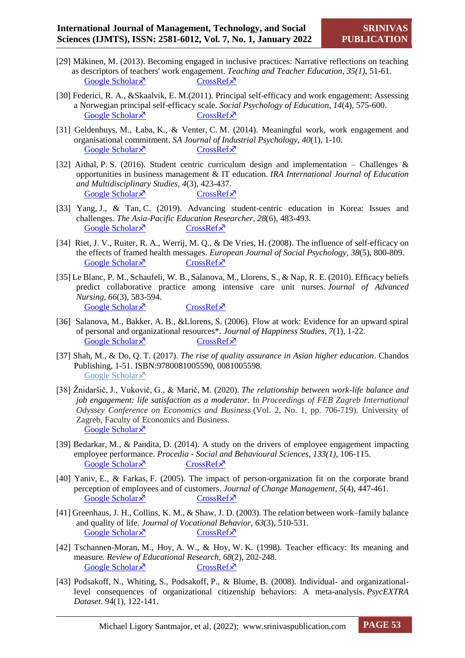- [29] Mäkinen, M. (2013). Becoming engaged in inclusive practices: Narrative reflections on teaching as descriptors of teachers' work engagement. *Teaching and Teacher Education*, *35(1)*, 51-61. [Google Scholar](https://www.sciencedirect.com/science/article/abs/pii/S0742051X13000930)  $\times$  [CrossRef](https://sci-hub.mksa.top/10.1016/j.tate.2013.05.005) $\times$
- [30] Federici, R. A., &Skaalvik, E. M.(2011). Principal self-efficacy and work engagement: Assessing a Norwegian principal self-efficacy scale. *Social Psychology of Education*, *14*(4), 575-600. [Google Scholar](https://link.springer.com/article/10.1007/s11218-011-9160-4)  $\bar{x}$  [CrossRef](https://sci-hub.mksa.top/10.1007/s11218-011-9160-4)  $\bar{x}$
- [31] Geldenhuys, M., Łaba, K., & Venter, C. M. (2014). Meaningful work, work engagement and organisational commitment. *SA Journal of Industrial Psychology*, *40*(1), 1-10. [Google Scholar](https://journals.co.za/doi/abs/10.4102/sajip.v40i1.1098)  $\times$  [CrossRef](https://sci-hub.mksa.top/10.4102/sajip.v40i1.1098)  $\times$
- [32] Aithal, P. S. (2016). Student centric curriculum design and implementation Challenges & opportunities in business management & IT education. *IRA International Journal of Education and Multidisciplinary Studies*, *4*(3), 423-437. [Google Scholar](https://mpra.ub.uni-muenchen.de/74365/)  $\times$  [CrossRef](https://mpra.ub.uni-muenchen.de/74365/1/MPRA_paper_74365.pdf) $\times$
- [33] Yang, J., & Tan, C. (2019). Advancing student-centric education in Korea: Issues and challenges. *The Asia-Pacific Education Researcher*, *28*(6), 483-493. Google Scholar  $\times$  [CrossRef](https://sci-hub.mksa.top/10.1007/s40299-019-00449-1) $\times$
- [34] Riet, J. V., Ruiter, R. A., Werrij, M. Q., & De Vries, H. (2008). The influence of self-efficacy on the effects of framed health messages. *European Journal of Social Psychology*, *38*(5), 800-809. Google Scholar  $\times$  [CrossRef](https://sci-hub.mksa.top/https:/doi.org/10.1002/ejsp.496) $\times$
- [35] Le Blanc, P. M., Schaufeli, W. B., Salanova, M., Llorens, S., & Nap, R. E. (2010). Efficacy beliefs predict collaborative practice among intensive care unit nurses. *Journal of Advanced Nursing*, *66*(3), 583-594. Google Scholar  $\times$  [CrossRef](https://sci-hub.mksa.top/10.1111/j.1365-2648.2009.05229.x) $\times$
- [36] Salanova, M., Bakker, A. B., &Llorens, S. (2006). Flow at work: Evidence for an upward spiral of personal and organizational resources\*. *Journal of Happiness Studies*, *7*(1), 1-22. [Google Scholar](https://link.springer.com/article/10.1007/s10902-005-8854-8)  $\times$  [CrossRef](https://sci-hub.mksa.top/10.1007/s10902-005-8854-8) $\times$
- [37] Shah, M., & Do, Q. T. (2017). *The rise of quality assurance in Asian higher education*. Chandos Publishing, 1-51. ISBN:9780081005590, 0081005598. [Google Scholar](https://www.google.co.in/books/edition/The_Rise_of_Quality_Assurance_in_Asian_H/K1bBBwAAQBAJ?hl=en&gbpv=1&dq=Shah,+M.,+%26+Do,+Q.+T.+(2017).+The+rise+of+quality+assurance+in+Asian+higher+education.+Chandos+Publishing.&pg=PP1&printsec=frontcover) ×
- [38] Žnidaršič, J., Vukovič, G., & Marič, M. (2020). *The relationship between work-life balance and job engagement: life satisfaction as a moderator*. In *Proceedings of FEB Zagreb International Odyssey Conference on Economics and Business* (Vol. 2, No. 1, pp. 706-719). University of Zagreb, Faculty of Economics and Business. [Google Scholar](https://www.proquest.com/openview/148e199e2a365c600f7577c648c7fe3a/1?pq-origsite=gscholar&cbl=4910610)<sup> $\lambda$ </sup>
- [39] Bedarkar, M., & Pandita, D. (2014). A study on the drivers of employee engagement impacting employee performance. *Procedia - Social and Behavioural Sciences*, *133(1)*, 106-115. Google Scholar  $\times$  [CrossRef](https://doi.org/10.1016/j.sbspro.2014.04.174) $\times$
- [40] Yaniv, E., & Farkas, F. (2005). The impact of person-organization fit on the corporate brand perception of employees and of customers. *Journal of Change Management*, *5*(4), 447-461. [Google Scholar](https://www.tandfonline.com/doi/abs/10.1080/14697010500372600)  $\times$  [CrossRef](https://sci-hub.mksa.top/10.1080/14697010500372600) $\times$
- [41] Greenhaus, J. H., Collins, K. M., & Shaw, J. D. (2003). The relation between work–family balance and quality of life. *Journal of Vocational Behavior*, *63*(3), 510-531. [Google Scholar](https://www.sciencedirect.com/science/article/abs/pii/S0001879102000428)  $\times$  [CrossRef](https://sci-hub.mksa.top/10.1016/s0001-8791(02)00042-8) $\times$
- [42] Tschannen-Moran, M., Hoy, A. W., & Hoy, W. K. (1998). Teacher efficacy: Its meaning and measure. *Review of Educational Research*, *68*(2), 202-248. Google [Scholar](https://journals.sagepub.com/doi/abs/10.3102/00346543068002202)  $\times$  [CrossRef](https://sci-hub.mksa.top/10.3102/00346543068002202) $\times$
- [43] Podsakoff, N., Whiting, S., Podsakoff, P., & Blume, B. (2008). Individual- and organizationallevel consequences of organizational citizenship behaviors: A meta-analysis. *PsycEXTRA Dataset*. 94(1), 122-141.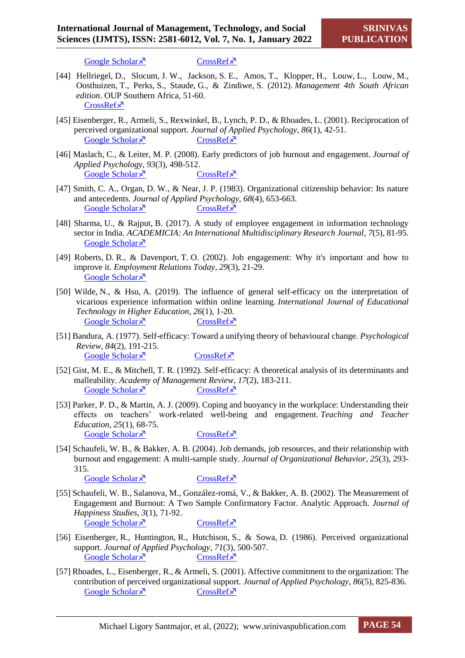[Google Scholar](https://psycnet.apa.org/record/2009-00697-003)  $\times$  [CrossRef](https://sci-hub.mksa.top/10.1037/a0013079) $\times$ 

- [44] Hellriegel, D., Slocum, J. W., Jackson, S. E., Amos, T., Klopper, H., Louw, L., Louw, M., Oosthuizen, T., Perks, S., Staude, G., & Zindiwe, S. (2012). *Management 4th South African edition*. OUP Southern Africa, 51-60. [CrossRef](https://global.oup.com/academic/product/management--4th-south-african-edition-9780195995602?cc=jp&lang=en&)<sup> $x$ </sup>
- [45] Eisenberger, R., Armeli, S., Rexwinkel, B., Lynch, P. D., & Rhoades, L. (2001). Reciprocation of perceived organizational support. *Journal of Applied Psychology*, *86*(1), 42-51. [Google Scholar](https://psycnet.apa.org/doiLanding?doi=10.1037%2F0021-9010.86.1.42)  $\times$  [CrossRef](https://sci-hub.mksa.top/10.1037/0021-9010.86.1.42) $\times$
- [46] Maslach, C., & Leiter, M. P. (2008). Early predictors of job burnout and engagement. *Journal of Applied Psychology*, *93*(3), 498-512. [Google Scholar](https://psycnet.apa.org/doiLanding?doi=10.1037%2F0021-9010.93.3.498)  $\times$  [CrossRef](https://sci-hub.mksa.top/10.1037/0021-9010.93.3.498) $\times$
- [47] Smith, C. A., Organ, D. W., & Near, J. P. (1983). Organizational citizenship behavior: Its nature and antecedents. *Journal of Applied Psychology*, *68*(4), 653-663. [Google Scholar](https://psycnet.apa.org/record/1984-05442-001)  $\times$  [CrossRef](https://sci-hub.mksa.top/10.1037/0021-9010.68.4.653) $\times$
- [48] Sharma, U., & Rajput, B. (2017). A study of employee engagement in information technology sector in India. *ACADEMICIA: An International Multidisciplinary Research Journal*, *7*(5), 81-95. [Google Scholar](https://www.indianjournals.com/ijor.aspx?target=ijor:aca&volume=7&issue=5&article=009) ×
- [49] Roberts, D. R., & Davenport, T. O. (2002). Job engagement: Why it's important and how to improve it. *Employment Relations Today*, *29*(3), 21-29. [Google Scholar](https://www.proquest.com/openview/0f4539f25acf5f62f1885a911a7369ca/1?pq-origsite=gscholar&cbl=49284) ×
- [50] Wilde, N., & Hsu, A. (2019). The influence of general self-efficacy on the interpretation of vicarious experience information within online learning. *International Journal of Educational Technology in Higher Education*, *26*(1), 1-20. [Google Scholar](https://educationaltechnologyjournal.springeropen.com/articles/10.1186/s41239-019-0158-x)  $\lambda$  [CrossRef](https://sci-hub.mksa.top/10.1186/s41239-019-0158-x)  $\lambda$
- [51] Bandura, A. (1977). Self-efficacy: Toward a unifying theory of behavioural change. *Psychological Review*, *84*(2), 191-215. Google Scholar  $\times$  [CrossRef](https://sci-hub.mksa.top/10.1037/0033-295x.84.2.191) $\times$
- [52] Gist, M. E., & Mitchell, T. R. (1992). Self-efficacy: A theoretical analysis of its determinants and malleability. *Academy of Management Review*, *17*(2), 183-211. [Google Scholar](https://journals.aom.org/doi/abs/10.5465/amr.1992.4279530)  $\times$  [CrossRef](https://sci-hub.mksa.top/10.5465/AMR.1992.4279530)  $\times$
- [53] Parker, P. D., & Martin, A. J. (2009). Coping and buoyancy in the workplace: Understanding their effects on teachers' work-related well-being and engagement. *Teaching and Teacher Education*, *25*(1), 68-75. [Google Scholar](https://www.sciencedirect.com/science/article/abs/pii/S0742051X08001145)  $\times$  [CrossRef](https://sci-hub.mksa.top/10.1016/j.tate.2008.06.009) $\times$
- [54] Schaufeli, W. B., & Bakker, A. B. (2004). Job demands, job resources, and their relationship with burnout and engagement: A multi-sample study. *Journal of Organizational Behavior*, *25*(3), 293- 315.

```
Google Scholar \timesCrossRef\times
```
- [55] Schaufeli, W. B., Salanova, M., González-romá, V., & Bakker, A. B. (2002). The Measurement of Engagement and Burnout: A Two Sample Confirmatory Factor. Analytic Approach. *Journal of Happiness Studies*, *3*(1), 71-92. [Google Scholar](https://link.springer.com/article/10.1023/A:1015630930326)  $\times$  [CrossRef](https://sci-hub.mksa.top/10.1023/a:1015630930326) $\times$
- [56] Eisenberger, R., Huntington, R., Hutchison, S., & Sowa, D. (1986). Perceived organizational support. *Journal of Applied Psychology*, *71*(3), 500-507. [Google Scholar](https://psycnet.apa.org/doiLanding?doi=10.1037%2F0021-9010.71.3.500)  $\times$  [CrossRef](https://sci-hub.mksa.top/https:/doi.org/10.1037/0021-9010.71.3.500) $\times$
- [57] Rhoades, L., Eisenberger, R., & Armeli, S. (2001). Affective commitment to the organization: The contribution of perceived organizational support. *Journal of Applied Psychology*, *86*(5), 825-836. [Google Scholar](https://psycnet.apa.org/record/2001-18662-002)  $\times$  [CrossRef](https://doi.org/10.1037/0021-9010.86.5.825) $\times$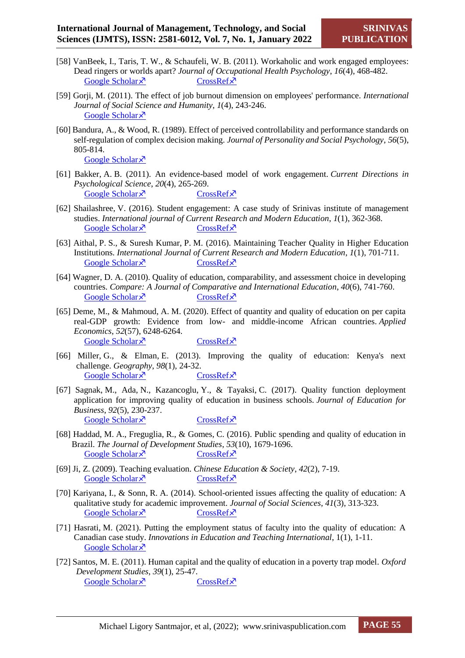- [58] VanBeek, I., Taris, T. W., & Schaufeli, W. B. (2011). Workaholic and work engaged employees: Dead ringers or worlds apart? *Journal of Occupational Health Psychology*, *16*(4), 468-482. [Google Scholar](https://psycnet.apa.org/record/2011-15487-001)  $\times$  [CrossRef](https://sci-hub.mksa.top/10.1037/a0024392) $\times$
- [59] Gorji, M. (2011). The effect of job burnout dimension on employees' performance. *International Journal of Social Science and Humanity*, *1*(4), 243-246. [Google Scholar](http://www.ijssh.org/papers/43-H067.pdf) ×
- [60] Bandura, A., & Wood, R. (1989). Effect of perceived controllability and performance standards on self-regulation of complex decision making. *Journal of Personality and Social Psychology*, *56*(5), 805-814.
	- [Google Scholar](https://psycnet.apa.org/buy/1989-27913-001)<sup> $\lambda$ </sup>
- [61] Bakker, A. B. (2011). An evidence-based model of work engagement. *Current Directions in Psychological Science*, *20*(4), 265-269. [Google Scholar](https://journals.sagepub.com/doi/abs/10.1177/0963721411414534)  $\times$  [CrossRef](https://sci-hub.mksa.top/10.1177/0963721411414534)  $\times$
- [62] Shailashree, V. (2016). Student engagement: A case study of Srinivas institute of management studies. *International journal of Current Research and Modern Education*, *1*(1), 362-368. [Google Scholar](https://papers.ssrn.com/sol3/papers.cfm?abstract_id=2959870)  $\times$  [CrossRef](https://poseidon01.ssrn.com/delivery.php?ID=788024004085068123067078127124088014018059046068005069022080024023003122104122015106096055049121118013030088113090124124078091006041089092044070064102005027102120070020092053071127115117083003070127107102108120096010071006023089087104079024103122027081&EXT=pdf&INDEX=TRUE) $\times$
- [63] Aithal, P. S., & Suresh Kumar, P. M. (2016). Maintaining Teacher Quality in Higher Education Institutions. *International Journal of Current Research and Modern Education*, *1*(1), 701-711. [Google Scholar](https://papers.ssrn.com/sol3/papers.cfm?abstract_id=2803012)  $\times$  [CrossRef](https://poseidon01.ssrn.com/delivery.php?ID=69807811608609310608609010510108109603002306605204201107411610101407206500402010402601606101800402904201907212611807708809406602708002302903910007701211702701607107702108304707506700502408111508202711600707209201) $\times$
- [64] Wagner, D. A. (2010). Quality of education, comparability, and assessment choice in developing countries. *Compare: A Journal of Comparative and International Education*, *40*(6), 741-760. [Google Scholar](https://www.tandfonline.com/doi/abs/10.1080/03057925.2010.523231)  $\lambda$  [CrossRef](https://sci-hub.mksa.top/10.1080/03057925.2010.523231)  $\lambda$
- [65] Deme, M., & Mahmoud, A. M. (2020). Effect of quantity and quality of education on per capita real-GDP growth: Evidence from low- and middle-income African countries. *Applied Economics*, *52*(57), 6248-6264. [Google Scholar](https://www.tandfonline.com/doi/abs/10.1080/00036846.2020.1789058)  $\times$  [CrossRef](https://sci-hub.mksa.top/10.1080/00036846.2020.1789058) $\times$
- [66] Miller, G., & Elman, E. (2013). Improving the quality of education: Kenya's next challenge. *Geography*, *98*(1), 24-32. [Google Scholar](https://www.tandfonline.com/doi/abs/10.1080/00167487.2013.12094362)  $\times$  [CrossRef](https://sci-hub.mksa.top/https:/doi.org/10.1080/00167487.2013.12094362) $\times$
- [67] Sagnak, M., Ada, N., Kazancoglu, Y., & Tayaksi, C. (2017). Quality function deployment application for improving quality of education in business schools. *Journal of Education for Business*, *92*(5), 230-237. [Google Scholar](https://www.tandfonline.com/doi/abs/10.1080/08832323.2017.1339661)  $\times$  [CrossRef](https://sci-hub.mksa.top/10.1080/08832323.2017.1339661) $\times$
- [68] Haddad, M. A., Freguglia, R., & Gomes, C. (2016). Public spending and quality of education in Brazil. *The Journal of Development Studies*, *53*(10), 1679-1696. [Google Scholar](https://www.tandfonline.com/doi/abs/10.1080/00220388.2016.1241387)  $\times$  [CrossRef](https://sci-hub.mksa.top/10.1080/00220388.2016.1241387) $\times$
- [69] Ji, Z. (2009). Teaching evaluation. *Chinese Education & Society*, *42*(2), 7-19. [Google Scholar](https://www.tandfonline.com/doi/abs/10.2753/CED1061-1932420201)  $\times$  [CrossRef](https://sci-hub.mksa.top/10.2753/ced1061-1932420201) $\times$
- [70] Kariyana, I., & Sonn, R. A. (2014). School-oriented issues affecting the quality of education: A qualitative study for academic improvement. *Journal of Social Sciences*, *41*(3), 313-323. [Google Scholar](https://www.tandfonline.com/doi/abs/10.1080/09718923.2014.11893366)  $\times$  [CrossRef](https://sci-hub.mksa.top/10.1080/09718923.2014.11893366) $\times$
- [71] Hasrati, M. (2021). Putting the employment status of faculty into the quality of education: A Canadian case study. *Innovations in Education and Teaching International*, 1(1), 1-11. [Google Scholar](https://www.tandfonline.com/doi/abs/10.1080/14703297.2021.1948887) ×
- [72] Santos, M. E. (2011). Human capital and the quality of education in a poverty trap model. *Oxford Development Studies*, *39*(1), 25-47. [Google Scholar](https://papers.ssrn.com/sol3/papers.cfm?abstract_id=2376445)  $\times$  [CrossRef](https://poseidon01.ssrn.com/delivery.php?ID=67808212302902509308111009909506907203808506808705708709212611302509908901812211310800405803712401700501606812200607908907000100104304404602808506500711210102001307005509307708812012412508700001210911800110606600) $\times$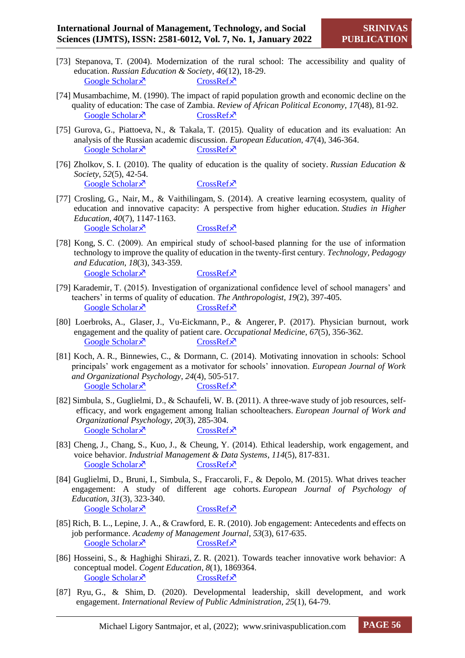- [73] Stepanova, T. (2004). Modernization of the rural school: The accessibility and quality of education. *Russian Education & Society*, *46*(12), 18-29. [Google Scholar](https://www.tandfonline.com/doi/abs/10.1080/10609393.2004.11056861)  $\times$  [CrossRef](https://sci-hub.mksa.top/10.1080/10609393.2004.11056861) $\times$
- [74] Musambachime, M. (1990). The impact of rapid population growth and economic decline on the quality of education: The case of Zambia. *Review of African Political Economy*, *17*(48), 81-92. [Google Scholar](https://www.tandfonline.com/doi/abs/10.1080/03056249008703863)  $\lambda$  [CrossRef](https://sci-hub.mksa.top/10.1080/03056249008703863)  $\lambda$
- [75] Gurova, G., Piattoeva, N., & Takala, T. (2015). Quality of education and its evaluation: An analysis of the Russian academic discussion. *European Education*, *47*(4), 346-364. [Google Scholar](https://www.tandfonline.com/doi/full/10.1080/10564934.2015.1107377)  $\times$  [CrossRef](https://sci-hub.mksa.top/10.1080/10564934.2015.1107377) $\times$
- [76] Zholkov, S. I. (2010). The quality of education is the quality of society. *Russian Education & Society*, *52*(5), 42-54. [Google Scholar](https://www.tandfonline.com/doi/abs/10.2753/RES1060-9393520504)  $\lambda$  [CrossRef](https://sci-hub.mksa.top/10.2753/res1060-9393520504)  $\lambda$
- [77] Crosling, G., Nair, M., & Vaithilingam, S. (2014). A creative learning ecosystem, quality of education and innovative capacity: A perspective from higher education. *Studies in Higher Education*, *40*(7), 1147-1163. [Google Scholar](https://www.tandfonline.com/doi/abs/10.1080/03075079.2014.881342)  $\bar{x}$  [CrossRef](https://sci-hub.mksa.top/10.1080/03075079.2014.881342)  $\bar{x}$
- [78] Kong, S. C. (2009). An empirical study of school-based planning for the use of information technology to improve the quality of education in the twenty‐first century. *Technology, Pedagogy and Education*, *18*(3), 343-359. [Google Scholar](https://www.tandfonline.com/doi/abs/10.1080/14759390903255627)  $\lambda$  [CrossRef](https://sci-hub.mksa.top/10.1080/14759390903255627)  $\lambda$
- [79] Karademir, T. (2015). Investigation of organizational confidence level of school managers' and teachers' in terms of quality of education. *The Anthropologist*, *19*(2), 397-405. [Google Scholar](https://www.tandfonline.com/doi/abs/10.1080/09720073.2015.11891673)  $\times$  [CrossRef](https://sci-hub.mksa.top/10.1080/09720073.2015.11891673) $\times$
- [80] Loerbroks, A., Glaser, J., Vu-Eickmann, P., & Angerer, P. (2017). Physician burnout, work engagement and the quality of patient care. *Occupational Medicine*, *67*(5), 356-362. [Google Scholar](https://academic.oup.com/occmed/article/67/5/356/3828722?login=true)  $\times$  [CrossRef](https://sci-hub.mksa.top/10.1093/occmed/kqx051) $\times$
- [81] Koch, A. R., Binnewies, C., & Dormann, C. (2014). Motivating innovation in schools: School principals' work engagement as a motivator for schools' innovation. *European Journal of Work and Organizational Psychology*, *24*(4), 505-517. [Google Scholar](https://www.tandfonline.com/doi/abs/10.1080/1359432X.2014.958471)  $\times$  [CrossRef](https://sci-hub.mksa.top/10.1080/1359432x.2014.958471)  $\times$
- [82] Simbula, S., Guglielmi, D., & Schaufeli, W. B. (2011). A three-wave study of job resources, selfefficacy, and work engagement among Italian schoolteachers. *European Journal of Work and Organizational Psychology*, *20*(3), 285-304. [Google Scholar](https://www.tandfonline.com/doi/abs/10.1080/13594320903513916)  $\lambda$  [CrossRef](https://sci-hub.mksa.top/10.1080/13594320903513916)  $\lambda$
- [83] Cheng, J., Chang, S., Kuo, J., & Cheung, Y. (2014). Ethical leadership, work engagement, and voice behavior. *Industrial Management & Data Systems*, *114*(5), 817-831. [Google Scholar](https://www.emerald.com/insight/content/doi/10.1108/IMDS-10-2013-0429/full/html)  $\times$  [CrossRef](https://sci-hub.mksa.top/10.1108/imds-10-2013-0429) $\times$
- [84] Guglielmi, D., Bruni, I., Simbula, S., Fraccaroli, F., & Depolo, M. (2015). What drives teacher engagement: A study of different age cohorts. *European Journal of Psychology of Education*, *31*(3), 323-340. [Google Scholar](https://link.springer.com/article/10.1007/s10212-015-0263-8)  $\times$  [CrossRef](https://sci-hub.mksa.top/10.1007/s10212-015-0263-8) $\times$
- [85] Rich, B. L., Lepine, J. A., & Crawford, E. R. (2010). Job engagement: Antecedents and effects on job performance. *Academy of Management Journal*, *53*(3), 617-635. [Google Scholar](https://journals.aom.org/doi/abs/10.5465/AMJ.2010.51468988)  $\lambda$  [CrossRef](https://sci-hub.mksa.top/10.5465/AMJ.2010.51468988)  $\lambda$
- [86] Hosseini, S., & Haghighi Shirazi, Z. R. (2021). Towards teacher innovative work behavior: A conceptual model. *Cogent Education*, *8*(1), 1869364. [Google Scholar](https://www.tandfonline.com/doi/full/10.1080/2331186X.2020.1869364)  $\times$  [CrossRef](https://sci-hub.mksa.top/https:/doi.org/10.1080/2331186X.2020.1869364)  $\times$
- [87] Ryu, G., & Shim, D. (2020). Developmental leadership, skill development, and work engagement. *International Review of Public Administration*, *25*(1), 64-79.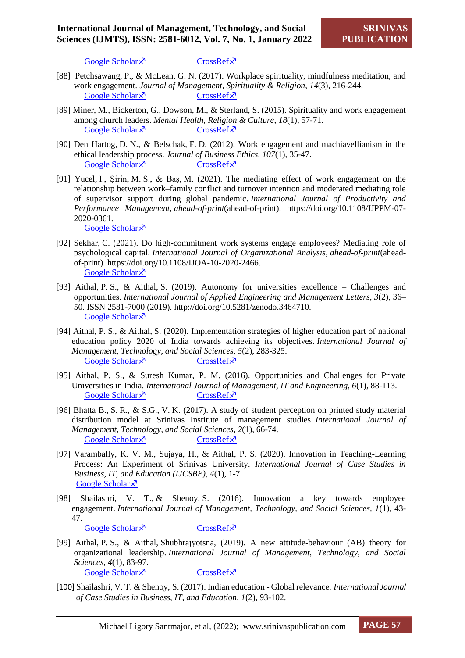[Google Scholar](https://www.tandfonline.com/doi/abs/10.1080/12294659.2020.1738978)  $\times$  [CrossRef](https://sci-hub.mksa.top/10.1080/12294659.2020.1738978) $\times$ 

- [88] Petchsawang, P., & McLean, G. N. (2017). Workplace spirituality, mindfulness meditation, and work engagement. *Journal of Management, Spirituality & Religion*, *14*(3), 216-244. [Google Scholar](https://www.tandfonline.com/doi/abs/10.1080/14766086.2017.1291360)  $\times$  [CrossRef](https://sci-hub.mksa.top/10.1080/14766086.2017.1291360) $\times$
- [89] Miner, M., Bickerton, G., Dowson, M., & Sterland, S. (2015). Spirituality and work engagement among church leaders. *Mental Health, Religion & Culture*, *18*(1), 57-71. [Google Scholar](https://www.tandfonline.com/doi/abs/10.1080/13674676.2014.1003168)  $\times$  [CrossRef](https://sci-hub.mksa.top/10.1080/13674676.2014.1003168) $\times$
- [90] Den Hartog, D. N., & Belschak, F. D. (2012). Work engagement and machiavellianism in the ethical leadership process. *Journal of Business Ethics*, *107*(1), 35-47. [Google Scholar](https://link.springer.com/article/10.1007/s10551-012-1296-4)  $\times$  [CrossRef](https://sci-hub.mksa.top/10.1007/s10551-012-1296-4) $\times$
- [91] Yucel, I., Şirin, M. S., & Baş, M. (2021). The mediating effect of work engagement on the relationship between work–family conflict and turnover intention and moderated mediating role of supervisor support during global pandemic. *International Journal of Productivity and Performance Management*, *ahead-of-print*(ahead-of-print). [https://doi.org/10.1108/IJPPM-07-](https://doi.org/10.1108/IJPPM-07-2020-0361) [2020-0361.](https://doi.org/10.1108/IJPPM-07-2020-0361)

[Google Scholar](https://www.emerald.com/insight/content/doi/10.1108/IJPPM-07-2020-0361/full/html?utm_source=rss&utm_medium=feed&utm_campaign=rss_journalLatest) ×

- [92] Sekhar, C. (2021). Do high-commitment work systems engage employees? Mediating role of psychological capital. *International Journal of Organizational Analysis*, *ahead-of-print*(aheadof-print). [https://doi.org/10.1108/IJOA-10-2020-2466.](https://doi.org/10.1108/IJOA-10-2020-2466) [Google Scholar](https://www.emerald.com/insight/content/doi/10.1108/IJOA-10-2020-2466/full/html) ×
- [93] Aithal, P. S., & Aithal, S. (2019). Autonomy for universities excellence Challenges and opportunities. *International Journal of Applied Engineering and Management Letters, 3*(2), 36– 50. ISSN 2581-7000 (2019). http://doi.org/10.5281/zenodo.3464710. [Google Scholar](https://srinivaspublication.com/journal/index.php/ijaeml/article/view/242) ×
- [94] Aithal, P. S., & Aithal, S. (2020). Implementation strategies of higher education part of national education policy 2020 of India towards achieving its objectives. *International Journal of Management, Technology, and Social Sciences*, *5*(2), 283-325. [Google Scholar](https://papers.ssrn.com/sol3/papers.cfm?abstract_id=3741425)  $\times$  [CrossRef](https://poseidon01.ssrn.com/delivery.php?ID=88600208903100212708500212108912407300006406901006607100509607810800502212302506711203803602600006203303702411011007008107606711607508806202308106609406411911612106400700603909609802308107409011100611202802207609)  $\times$
- [95] Aithal, P. S., & Suresh Kumar, P. M. (2016). Opportunities and Challenges for Private Universities in India. *International Journal of Management, IT and Engineering, 6*(1), 88-113. [Google Scholar](https://papers.ssrn.com/sol3/papers.cfm?abstract_id=2779118)  $\times$  [CrossRef](https://poseidon01.ssrn.com/delivery.php?ID=59609701312110001706611600711811906606306305908804908909602811910810008608800108706403611900512602802303501107000301001207103011403402906901507501910507109112207408806204306606612609902707401600108312706512509009) $\times$
- [96] Bhatta B., S. R., & S.G., V. K. (2017). A study of student perception on printed study material distribution model at Srinivas Institute of management studies. *International Journal of Management, Technology, and Social Sciences, 2*(1), 66-74. [Google Scholar](https://srinivaspublication.com/journal/index.php/ijmts/article/view/35)  $\times$  [CrossRef](https://srinivaspublication.com/wp-content/uploads/2019/01/8.StudyMaterials_FullPaper.pdf) $\times$
- [97] Varambally, K. V. M., Sujaya, H., & Aithal, P. S. (2020). Innovation in Teaching-Learning Process: An Experiment of Srinivas University. *International Journal of Case Studies in Business, IT, and Education (IJCSBE), 4*(1), 1-7. [Google Scholar](https://twasp.info/journal/archive/15.%20226-244%20Parametric%20Study%20on%20Ultimate%20Bearing%20Capacity%20of%20CFST%20Arch%20Bridge.pdf) ×
- [98] Shailashri, V. T., & Shenoy, S. (2016). Innovation a key towards employee engagement. *International Journal of Management, Technology, and Social Sciences, 1*(1), 43- 47. [Google Scholar](https://srinivaspublication.com/journal/index.php/ijmts/article/view/20)  $\times$  [CrossRef](https://srinivaspublication.com/wp-content/uploads/2018/12/5.Innovation_FullPaper.pdf) $\times$
- [99] Aithal, P. S., & Aithal, Shubhrajyotsna, (2019). A new attitude-behaviour (AB) theory for organizational leadership. *International Journal of Management, Technology, and Social Sciences*, *4*(1), 83-97. [Google Scholar](https://papers.ssrn.com/sol3/papers.cfm?abstract_id=3406821)  $\times$  [CrossRef](https://poseidon01.ssrn.com/delivery.php?ID=89202106902207411600800411209900402704604602700602108808811907310412609507612507410004204303212701001611102610002408809307511605800209206909200611701611112310000009003306106600206601900900602802406809409107408806) $\times$
- [100] Shailashri, V. T. & Shenoy, S. (2017). Indian education Global relevance. *International Journal of Case Studies in Business, IT, and Education, 1*(2), 93-102.